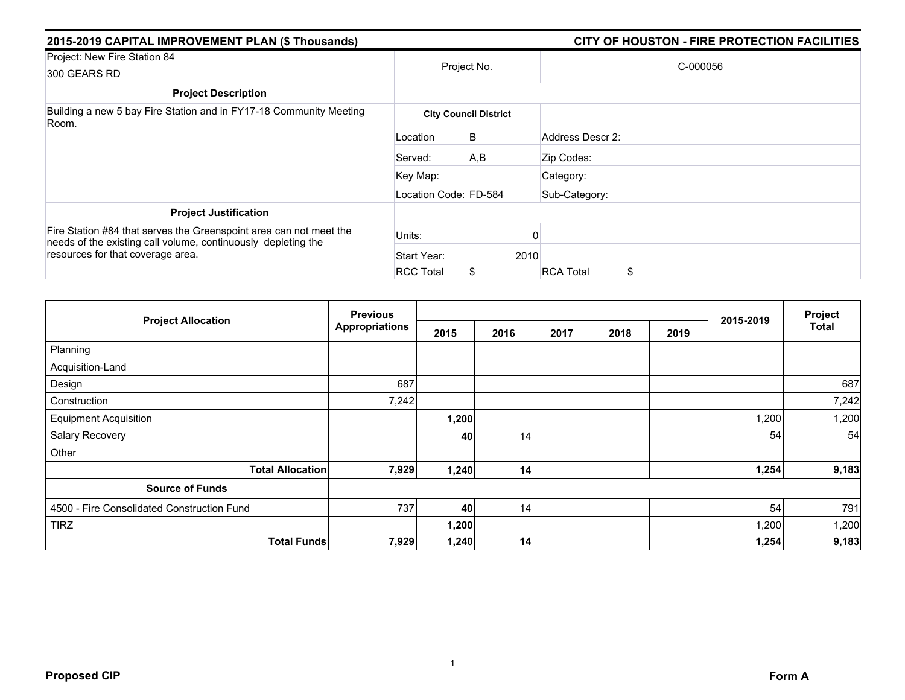| 2015-2019 CAPITAL IMPROVEMENT PLAN (\$ Thousands)                                                                                   |                       |                              |                  | CITY OF HOUSTON - FIRE PROTECTION FACILITIES |  |  |
|-------------------------------------------------------------------------------------------------------------------------------------|-----------------------|------------------------------|------------------|----------------------------------------------|--|--|
| Project: New Fire Station 84                                                                                                        |                       |                              | C-000056         |                                              |  |  |
| 300 GEARS RD                                                                                                                        |                       | Project No.                  |                  |                                              |  |  |
| <b>Project Description</b>                                                                                                          |                       |                              |                  |                                              |  |  |
| Building a new 5 bay Fire Station and in FY17-18 Community Meeting<br>Room.                                                         |                       | <b>City Council District</b> |                  |                                              |  |  |
|                                                                                                                                     | Location              | B                            | Address Descr 2: |                                              |  |  |
|                                                                                                                                     | Served:               | A,B                          | Zip Codes:       |                                              |  |  |
|                                                                                                                                     | Key Map:              |                              | Category:        |                                              |  |  |
|                                                                                                                                     | Location Code: FD-584 |                              | Sub-Category:    |                                              |  |  |
| <b>Project Justification</b>                                                                                                        |                       |                              |                  |                                              |  |  |
| Fire Station #84 that serves the Greenspoint area can not meet the<br>needs of the existing call volume, continuously depleting the | Units:                |                              |                  |                                              |  |  |
| resources for that coverage area.                                                                                                   | Start Year:           | 2010                         |                  |                                              |  |  |
|                                                                                                                                     | <b>RCC Total</b>      | \$                           | <b>RCA Total</b> | £.                                           |  |  |

| <b>Project Allocation</b>                  | <b>Previous</b>       |       |      |      |      | Project |           |       |
|--------------------------------------------|-----------------------|-------|------|------|------|---------|-----------|-------|
|                                            | <b>Appropriations</b> | 2015  | 2016 | 2017 | 2018 | 2019    | 2015-2019 | Total |
| Planning                                   |                       |       |      |      |      |         |           |       |
| Acquisition-Land                           |                       |       |      |      |      |         |           |       |
| Design                                     | 687                   |       |      |      |      |         |           | 687   |
| Construction                               | 7,242                 |       |      |      |      |         |           | 7,242 |
| <b>Equipment Acquisition</b>               |                       | 1,200 |      |      |      |         | 1,200     | 1,200 |
| Salary Recovery                            |                       | 40    | 14   |      |      |         | 54        | 54    |
| Other                                      |                       |       |      |      |      |         |           |       |
| <b>Total Allocation</b>                    | 7,929                 | 1,240 | 14   |      |      |         | 1,254     | 9,183 |
| <b>Source of Funds</b>                     |                       |       |      |      |      |         |           |       |
| 4500 - Fire Consolidated Construction Fund | 737                   | 40    | 14   |      |      |         | 54        | 791   |
| <b>TIRZ</b>                                |                       | 1,200 |      |      |      |         | 1,200     | 1,200 |
| <b>Total Funds</b>                         | 7,929                 | 1,240 | 14   |      |      |         | 1,254     | 9,183 |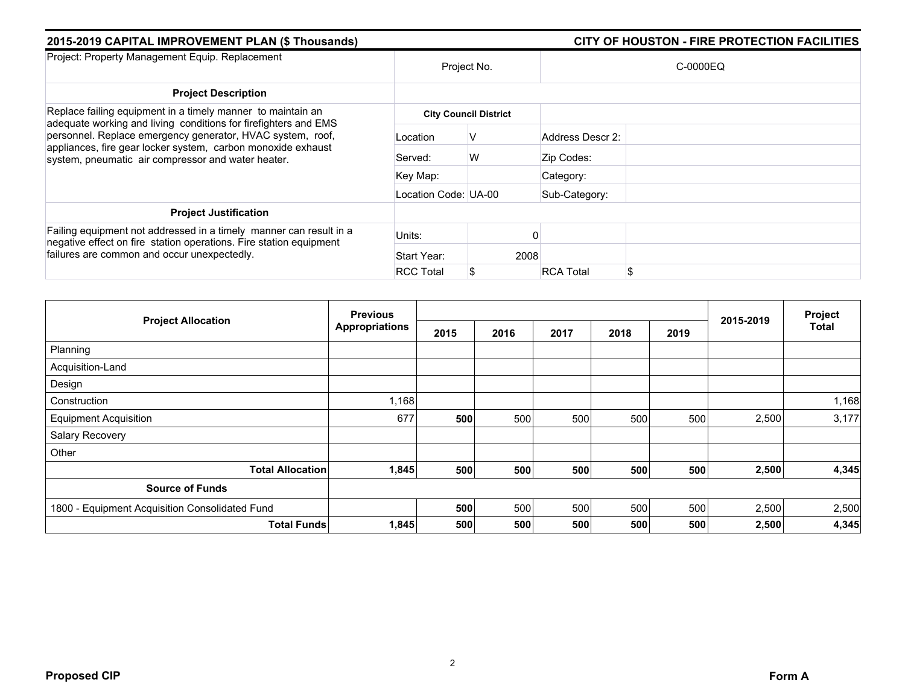| 2015-2019 CAPITAL IMPROVEMENT PLAN (\$ Thousands)                                                                                                                                |                      |                              | CITY OF HOUSTON - FIRE PROTECTION FACILITIES |          |  |  |  |  |
|----------------------------------------------------------------------------------------------------------------------------------------------------------------------------------|----------------------|------------------------------|----------------------------------------------|----------|--|--|--|--|
| Project: Property Management Equip. Replacement                                                                                                                                  | Project No.          |                              |                                              | C-0000EQ |  |  |  |  |
| <b>Project Description</b>                                                                                                                                                       |                      |                              |                                              |          |  |  |  |  |
| Replace failing equipment in a timely manner to maintain an<br>adequate working and living conditions for firefighters and EMS                                                   |                      | <b>City Council District</b> |                                              |          |  |  |  |  |
| personnel. Replace emergency generator, HVAC system, roof,<br>appliances, fire gear locker system, carbon monoxide exhaust<br>system, pneumatic air compressor and water heater. | Location             | v                            | Address Descr 2:                             |          |  |  |  |  |
|                                                                                                                                                                                  | Served:              | W                            | Zip Codes:                                   |          |  |  |  |  |
|                                                                                                                                                                                  | Key Map:             |                              | Category:                                    |          |  |  |  |  |
|                                                                                                                                                                                  | Location Code: UA-00 |                              | Sub-Category:                                |          |  |  |  |  |
| <b>Project Justification</b>                                                                                                                                                     |                      |                              |                                              |          |  |  |  |  |
| Failing equipment not addressed in a timely manner can result in a<br>negative effect on fire station operations. Fire station equipment                                         | Units:               |                              |                                              |          |  |  |  |  |
| failures are common and occur unexpectedly.                                                                                                                                      | Start Year:          | 2008                         |                                              |          |  |  |  |  |
|                                                                                                                                                                                  | <b>RCC Total</b>     | S                            | <b>RCA Total</b>                             |          |  |  |  |  |

|                                                | <b>Previous</b>       |      |      |      |      | Project |           |              |
|------------------------------------------------|-----------------------|------|------|------|------|---------|-----------|--------------|
| <b>Project Allocation</b>                      | <b>Appropriations</b> | 2015 | 2016 | 2017 | 2018 | 2019    | 2015-2019 | <b>Total</b> |
| Planning                                       |                       |      |      |      |      |         |           |              |
| Acquisition-Land                               |                       |      |      |      |      |         |           |              |
| Design                                         |                       |      |      |      |      |         |           |              |
| Construction                                   | 1,168                 |      |      |      |      |         |           | 1,168        |
| <b>Equipment Acquisition</b>                   | 677                   | 500  | 500  | 500  | 500  | 500     | 2,500     | 3,177        |
| Salary Recovery                                |                       |      |      |      |      |         |           |              |
| Other                                          |                       |      |      |      |      |         |           |              |
| <b>Total Allocation</b>                        | 1,845                 | 500  | 500  | 500  | 500  | 500     | 2,500     | 4,345        |
| <b>Source of Funds</b>                         |                       |      |      |      |      |         |           |              |
| 1800 - Equipment Acquisition Consolidated Fund |                       | 500  | 500  | 500  | 500  | 500     | 2,500     | 2,500        |
| <b>Total Funds</b>                             | 1,845                 | 500  | 500  | 500  | 500  | 500     | 2,500     | 4,345        |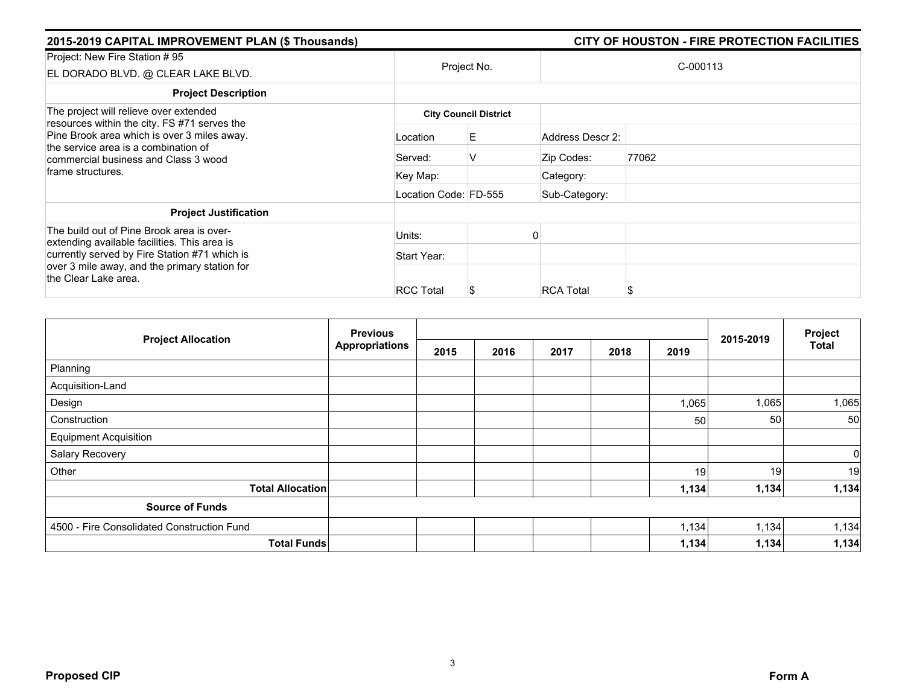| 2015-2019 CAPITAL IMPROVEMENT PLAN (\$ Thousands)                                                                                                                           |                       |                              |                  | CITY OF HOUSTON - FIRE PROTECTION FACILITIES |
|-----------------------------------------------------------------------------------------------------------------------------------------------------------------------------|-----------------------|------------------------------|------------------|----------------------------------------------|
| Project: New Fire Station #95<br>EL DORADO BLVD. @ CLEAR LAKE BLVD.                                                                                                         | Project No.           |                              |                  | C-000113                                     |
| <b>Project Description</b>                                                                                                                                                  |                       |                              |                  |                                              |
| The project will relieve over extended                                                                                                                                      |                       | <b>City Council District</b> |                  |                                              |
| resources within the city. FS #71 serves the<br>Pine Brook area which is over 3 miles away.<br>the service area is a combination of<br>commercial business and Class 3 wood | Location              | E.                           | Address Descr 2: |                                              |
|                                                                                                                                                                             | Served:               | V                            | Zip Codes:       | 77062                                        |
| frame structures.                                                                                                                                                           | Key Map:              |                              | Category:        |                                              |
|                                                                                                                                                                             | Location Code: FD-555 |                              | Sub-Category:    |                                              |
| <b>Project Justification</b>                                                                                                                                                |                       |                              |                  |                                              |
| The build out of Pine Brook area is over-<br>extending available facilities. This area is                                                                                   | Units:                |                              |                  |                                              |
| currently served by Fire Station #71 which is                                                                                                                               | Start Year:           |                              |                  |                                              |
| over 3 mile away, and the primary station for<br>the Clear Lake area.                                                                                                       | <b>RCC Total</b>      | ъ                            | <b>RCA Total</b> | S                                            |

| <b>Project Allocation</b>                  | <b>Previous</b>       |      |      | 2015-2019 | Project |       |                 |              |
|--------------------------------------------|-----------------------|------|------|-----------|---------|-------|-----------------|--------------|
|                                            | <b>Appropriations</b> | 2015 | 2016 | 2017      | 2018    | 2019  |                 | <b>Total</b> |
| Planning                                   |                       |      |      |           |         |       |                 |              |
| Acquisition-Land                           |                       |      |      |           |         |       |                 |              |
| Design                                     |                       |      |      |           |         | 1,065 | 1,065           | 1,065        |
| Construction                               |                       |      |      |           |         | 50    | 50 <sub>1</sub> | 50           |
| <b>Equipment Acquisition</b>               |                       |      |      |           |         |       |                 |              |
| Salary Recovery                            |                       |      |      |           |         |       |                 | $\mathbf 0$  |
| Other                                      |                       |      |      |           |         | 19    | 19              | 19           |
| <b>Total Allocation</b>                    |                       |      |      |           |         | 1,134 | 1,134           | 1,134        |
| <b>Source of Funds</b>                     |                       |      |      |           |         |       |                 |              |
| 4500 - Fire Consolidated Construction Fund |                       |      |      |           |         | 1,134 | 1,134           | 1,134        |
| <b>Total Funds</b>                         |                       |      |      |           |         | 1,134 | 1,134           | 1,134        |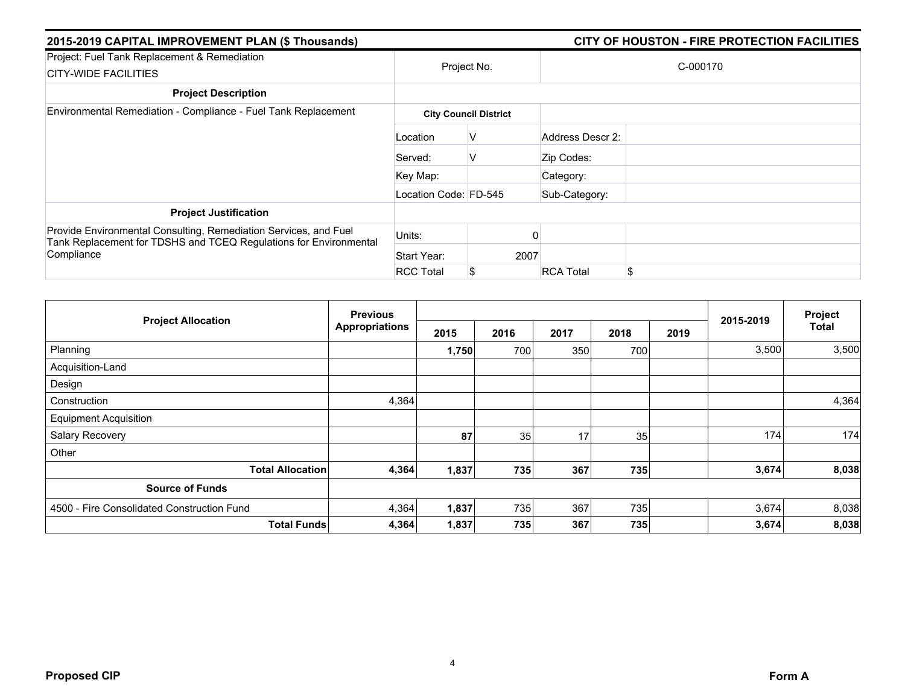| 2015-2019 CAPITAL IMPROVEMENT PLAN (\$ Thousands)                                                                                                   |                       | CITY OF HOUSTON - FIRE PROTECTION FACILITIES |                        |  |  |  |  |  |
|-----------------------------------------------------------------------------------------------------------------------------------------------------|-----------------------|----------------------------------------------|------------------------|--|--|--|--|--|
| Project: Fuel Tank Replacement & Remediation<br><b>CITY-WIDE FACILITIES</b>                                                                         |                       | Project No.                                  | C-000170               |  |  |  |  |  |
| <b>Project Description</b>                                                                                                                          |                       |                                              |                        |  |  |  |  |  |
| Environmental Remediation - Compliance - Fuel Tank Replacement                                                                                      |                       | <b>City Council District</b>                 |                        |  |  |  |  |  |
|                                                                                                                                                     | Location              | V                                            | Address Descr 2:       |  |  |  |  |  |
|                                                                                                                                                     | Served:               | V                                            | Zip Codes:             |  |  |  |  |  |
|                                                                                                                                                     | Key Map:              |                                              | Category:              |  |  |  |  |  |
|                                                                                                                                                     | Location Code: FD-545 |                                              | Sub-Category:          |  |  |  |  |  |
| <b>Project Justification</b>                                                                                                                        |                       |                                              |                        |  |  |  |  |  |
| Provide Environmental Consulting, Remediation Services, and Fuel<br>Tank Replacement for TDSHS and TCEQ Regulations for Environmental<br>Compliance | Units:                |                                              |                        |  |  |  |  |  |
|                                                                                                                                                     | Start Year:           | 2007                                         |                        |  |  |  |  |  |
|                                                                                                                                                     | <b>RCC Total</b>      | S                                            | \$<br><b>RCA Total</b> |  |  |  |  |  |

|                                            | <b>Previous</b>       |       |      |      |      | Project |           |              |
|--------------------------------------------|-----------------------|-------|------|------|------|---------|-----------|--------------|
| <b>Project Allocation</b>                  | <b>Appropriations</b> | 2015  | 2016 | 2017 | 2018 | 2019    | 2015-2019 | <b>Total</b> |
| Planning                                   |                       | 1,750 | 700  | 350  | 700  |         | 3,500     | 3,500        |
| Acquisition-Land                           |                       |       |      |      |      |         |           |              |
| Design                                     |                       |       |      |      |      |         |           |              |
| Construction                               | 4,364                 |       |      |      |      |         |           | 4,364        |
| <b>Equipment Acquisition</b>               |                       |       |      |      |      |         |           |              |
| Salary Recovery                            |                       | 87    | 35   | 17   | 35   |         | 174       | 174          |
| Other                                      |                       |       |      |      |      |         |           |              |
| <b>Total Allocation</b>                    | 4,364                 | 1,837 | 735  | 367  | 735  |         | 3,674     | 8,038        |
| <b>Source of Funds</b>                     |                       |       |      |      |      |         |           |              |
| 4500 - Fire Consolidated Construction Fund | 4,364                 | 1,837 | 735  | 367  | 735  |         | 3,674     | 8,038        |
| <b>Total Funds</b>                         | 4,364                 | 1,837 | 735  | 367  | 735  |         | 3,674     | 8,038        |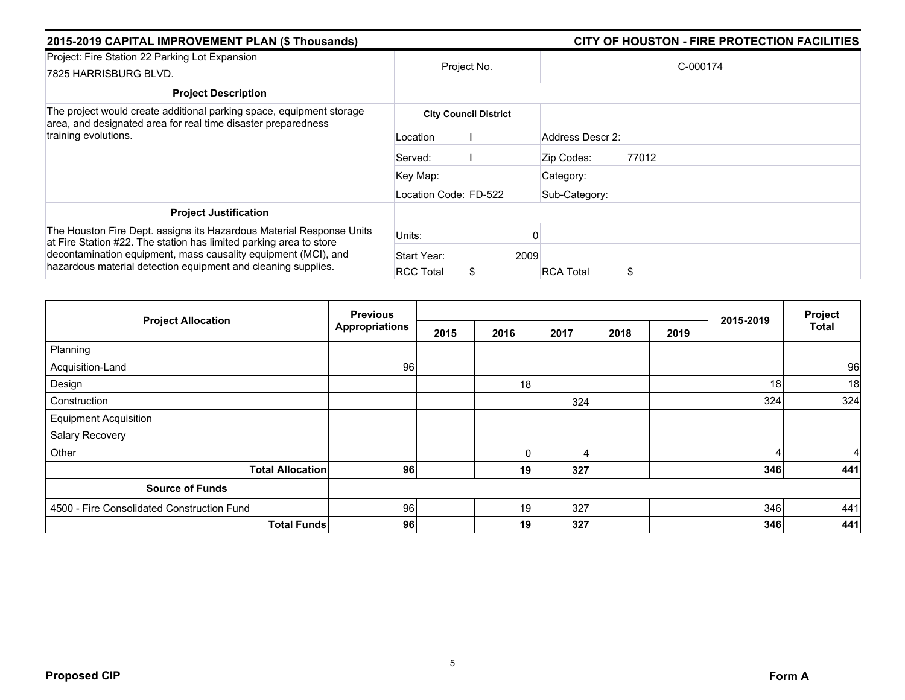| 2015-2019 CAPITAL IMPROVEMENT PLAN (\$ Thousands)                                                                                                                                                                                                                             |                       |                              | CITY OF HOUSTON - FIRE PROTECTION FACILITIES |          |  |  |  |
|-------------------------------------------------------------------------------------------------------------------------------------------------------------------------------------------------------------------------------------------------------------------------------|-----------------------|------------------------------|----------------------------------------------|----------|--|--|--|
| Project: Fire Station 22 Parking Lot Expansion<br>7825 HARRISBURG BLVD.                                                                                                                                                                                                       | Project No.           |                              |                                              | C-000174 |  |  |  |
| <b>Project Description</b>                                                                                                                                                                                                                                                    |                       |                              |                                              |          |  |  |  |
| The project would create additional parking space, equipment storage<br>area, and designated area for real time disaster preparedness                                                                                                                                         |                       | <b>City Council District</b> |                                              |          |  |  |  |
| training evolutions.                                                                                                                                                                                                                                                          | Location              |                              | Address Descr 2:                             |          |  |  |  |
|                                                                                                                                                                                                                                                                               | Served:               |                              | Zip Codes:                                   | 77012    |  |  |  |
|                                                                                                                                                                                                                                                                               | Key Map:              |                              | Category:                                    |          |  |  |  |
|                                                                                                                                                                                                                                                                               | Location Code: FD-522 |                              | Sub-Category:                                |          |  |  |  |
| <b>Project Justification</b>                                                                                                                                                                                                                                                  |                       |                              |                                              |          |  |  |  |
| The Houston Fire Dept. assigns its Hazardous Material Response Units<br>at Fire Station #22. The station has limited parking area to store<br>decontamination equipment, mass causality equipment (MCI), and<br>hazardous material detection equipment and cleaning supplies. | Units:                |                              |                                              |          |  |  |  |
|                                                                                                                                                                                                                                                                               | Start Year:           | 2009                         |                                              |          |  |  |  |
|                                                                                                                                                                                                                                                                               | <b>RCC Total</b>      |                              | <b>RCA Total</b>                             | \$       |  |  |  |

| <b>Project Allocation</b>                  | <b>Previous</b>       |      |              |      | Project |      |           |              |
|--------------------------------------------|-----------------------|------|--------------|------|---------|------|-----------|--------------|
|                                            | <b>Appropriations</b> | 2015 | 2016         | 2017 | 2018    | 2019 | 2015-2019 | <b>Total</b> |
| Planning                                   |                       |      |              |      |         |      |           |              |
| Acquisition-Land                           | 96                    |      |              |      |         |      |           | 96           |
| Design                                     |                       |      | 18           |      |         |      | 18        | 18           |
| Construction                               |                       |      |              | 324  |         |      | 324       | 324          |
| <b>Equipment Acquisition</b>               |                       |      |              |      |         |      |           |              |
| Salary Recovery                            |                       |      |              |      |         |      |           |              |
| Other                                      |                       |      | $\mathbf{0}$ | 4    |         |      | 4         | 4            |
| <b>Total Allocation</b>                    | 96                    |      | 19           | 327  |         |      | 346       | 441          |
| <b>Source of Funds</b>                     |                       |      |              |      |         |      |           |              |
| 4500 - Fire Consolidated Construction Fund | 96                    |      | 19           | 327  |         |      | 346       | 441          |
| <b>Total Funds</b>                         | 96                    |      | 19           | 327  |         |      | 346       | 441          |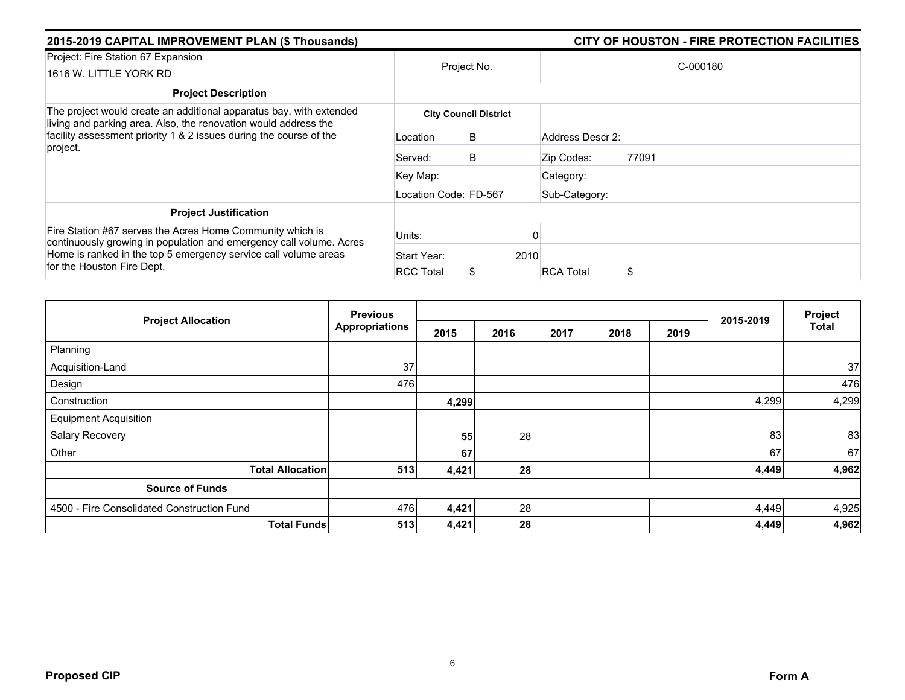| 2015-2019 CAPITAL IMPROVEMENT PLAN (\$ Thousands)                                                                                                                                                                                 | CITY OF HOUSTON - FIRE PROTECTION FACILITIES |                              |                  |          |  |
|-----------------------------------------------------------------------------------------------------------------------------------------------------------------------------------------------------------------------------------|----------------------------------------------|------------------------------|------------------|----------|--|
| Project: Fire Station 67 Expansion<br>1616 W. LITTLE YORK RD                                                                                                                                                                      | Project No.                                  |                              |                  | C-000180 |  |
| <b>Project Description</b>                                                                                                                                                                                                        |                                              |                              |                  |          |  |
| The project would create an additional apparatus bay, with extended                                                                                                                                                               |                                              | <b>City Council District</b> |                  |          |  |
| living and parking area. Also, the renovation would address the<br>facility assessment priority 1 & 2 issues during the course of the<br>project.                                                                                 | Location                                     | B                            | Address Descr 2: |          |  |
|                                                                                                                                                                                                                                   | Served:                                      | B                            | Zip Codes:       | 77091    |  |
|                                                                                                                                                                                                                                   | Key Map:                                     |                              | Category:        |          |  |
|                                                                                                                                                                                                                                   | Location Code: FD-567                        |                              | Sub-Category:    |          |  |
| <b>Project Justification</b>                                                                                                                                                                                                      |                                              |                              |                  |          |  |
| Fire Station #67 serves the Acres Home Community which is<br>continuously growing in population and emergency call volume. Acres<br>Home is ranked in the top 5 emergency service call volume areas<br>for the Houston Fire Dept. | Units:                                       |                              |                  |          |  |
|                                                                                                                                                                                                                                   | Start Year:                                  | 2010                         |                  |          |  |
|                                                                                                                                                                                                                                   | <b>RCC Total</b>                             |                              | <b>RCA Total</b> | \$       |  |

| <b>Project Allocation</b>                  | <b>Previous</b>       |       |      |      | Project |      |           |              |
|--------------------------------------------|-----------------------|-------|------|------|---------|------|-----------|--------------|
|                                            | <b>Appropriations</b> | 2015  | 2016 | 2017 | 2018    | 2019 | 2015-2019 | <b>Total</b> |
| Planning                                   |                       |       |      |      |         |      |           |              |
| Acquisition-Land                           | 37                    |       |      |      |         |      |           | 37           |
| Design                                     | 476                   |       |      |      |         |      |           | 476          |
| Construction                               |                       | 4,299 |      |      |         |      | 4,299     | 4,299        |
| <b>Equipment Acquisition</b>               |                       |       |      |      |         |      |           |              |
| Salary Recovery                            |                       | 55    | 28   |      |         |      | 83        | 83           |
| Other                                      |                       | 67    |      |      |         |      | 67        | 67           |
| <b>Total Allocation</b>                    | 513                   | 4,421 | 28   |      |         |      | 4,449     | 4,962        |
| <b>Source of Funds</b>                     |                       |       |      |      |         |      |           |              |
| 4500 - Fire Consolidated Construction Fund | 476                   | 4,421 | 28   |      |         |      | 4,449     | 4,925        |
| <b>Total Funds</b>                         | 513                   | 4,421 | 28   |      |         |      | 4,449     | 4,962        |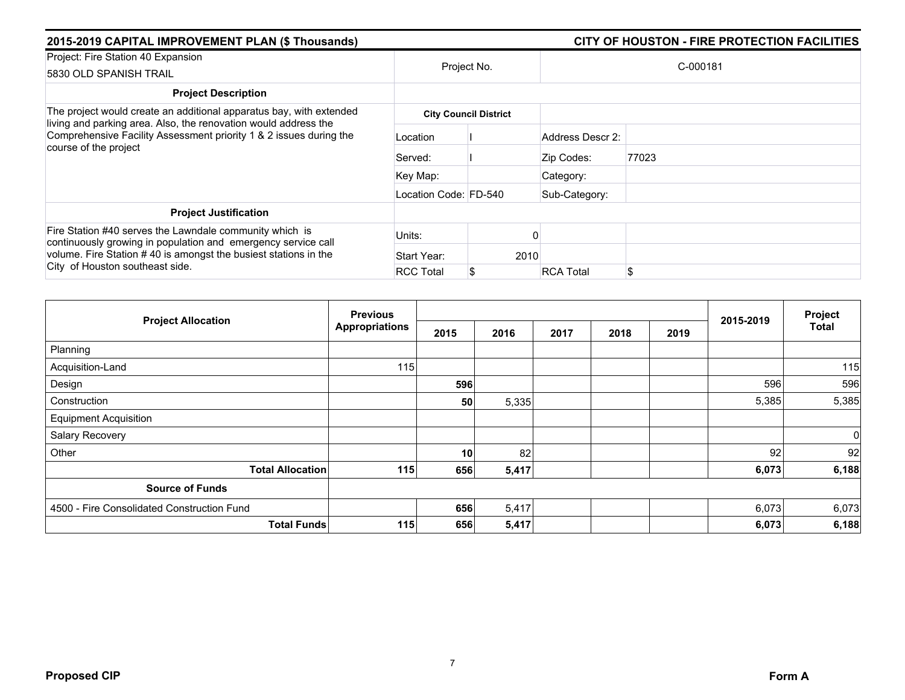| 2015-2019 CAPITAL IMPROVEMENT PLAN (\$ Thousands)                                                                                                                                                                              |                       | CITY OF HOUSTON - FIRE PROTECTION FACILITIES |                  |          |  |  |
|--------------------------------------------------------------------------------------------------------------------------------------------------------------------------------------------------------------------------------|-----------------------|----------------------------------------------|------------------|----------|--|--|
| Project: Fire Station 40 Expansion<br>5830 OLD SPANISH TRAIL                                                                                                                                                                   |                       | Project No.                                  |                  | C-000181 |  |  |
| <b>Project Description</b>                                                                                                                                                                                                     |                       |                                              |                  |          |  |  |
| The project would create an additional apparatus bay, with extended                                                                                                                                                            |                       | <b>City Council District</b>                 |                  |          |  |  |
| living and parking area. Also, the renovation would address the<br>Comprehensive Facility Assessment priority 1 & 2 issues during the<br>course of the project                                                                 | Location              |                                              | Address Descr 2: |          |  |  |
|                                                                                                                                                                                                                                | Served:               |                                              | Zip Codes:       | 77023    |  |  |
|                                                                                                                                                                                                                                | Key Map:              |                                              | Category:        |          |  |  |
|                                                                                                                                                                                                                                | Location Code: FD-540 |                                              | Sub-Category:    |          |  |  |
| <b>Project Justification</b>                                                                                                                                                                                                   |                       |                                              |                  |          |  |  |
| Fire Station #40 serves the Lawndale community which is<br>continuously growing in population and emergency service call<br>volume. Fire Station #40 is amongst the busiest stations in the<br>City of Houston southeast side. | Units:                |                                              |                  |          |  |  |
|                                                                                                                                                                                                                                | Start Year:           | 2010                                         |                  |          |  |  |
|                                                                                                                                                                                                                                | <b>RCC Total</b>      |                                              | <b>RCA Total</b> | \$       |  |  |

| <b>Project Allocation</b>                  | <b>Previous</b>       |      |       |      | Project |      |           |              |
|--------------------------------------------|-----------------------|------|-------|------|---------|------|-----------|--------------|
|                                            | <b>Appropriations</b> | 2015 | 2016  | 2017 | 2018    | 2019 | 2015-2019 | <b>Total</b> |
| Planning                                   |                       |      |       |      |         |      |           |              |
| Acquisition-Land                           | 115                   |      |       |      |         |      |           | 115          |
| Design                                     |                       | 596  |       |      |         |      | 596       | 596          |
| Construction                               |                       | 50   | 5,335 |      |         |      | 5,385     | 5,385        |
| <b>Equipment Acquisition</b>               |                       |      |       |      |         |      |           |              |
| Salary Recovery                            |                       |      |       |      |         |      |           | $\mathbf 0$  |
| Other                                      |                       | 10   | 82    |      |         |      | 92        | 92           |
| <b>Total Allocation</b>                    | 115                   | 656  | 5,417 |      |         |      | 6,073     | 6,188        |
| <b>Source of Funds</b>                     |                       |      |       |      |         |      |           |              |
| 4500 - Fire Consolidated Construction Fund |                       | 656  | 5,417 |      |         |      | 6,073     | 6,073        |
| <b>Total Funds</b>                         | 115                   | 656  | 5,417 |      |         |      | 6,073     | 6,188        |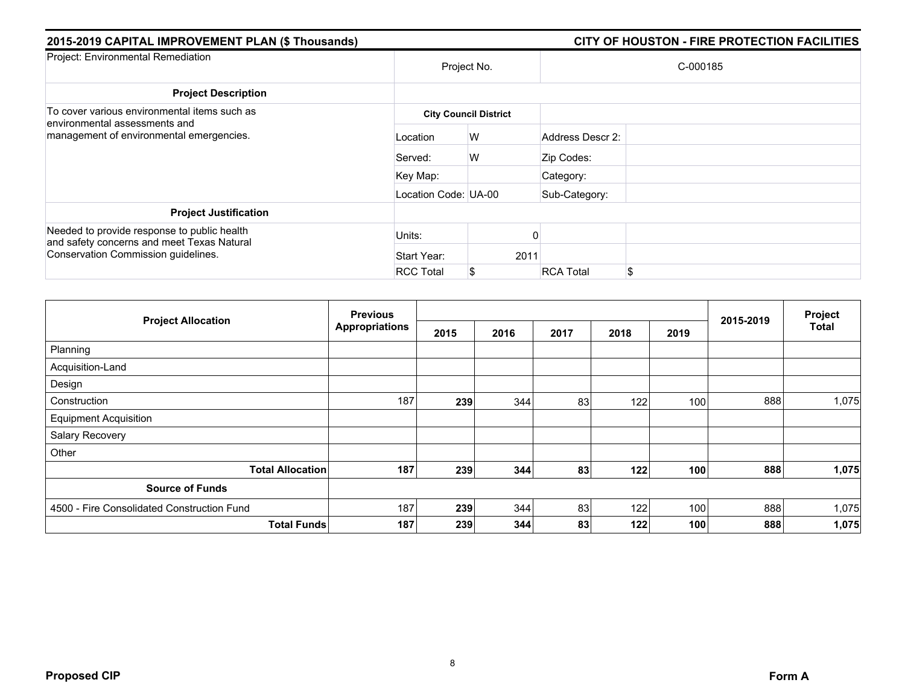| 2015-2019 CAPITAL IMPROVEMENT PLAN (\$ Thousands)                                                                                | CITY OF HOUSTON - FIRE PROTECTION FACILITIES |                              |                  |          |  |  |  |  |
|----------------------------------------------------------------------------------------------------------------------------------|----------------------------------------------|------------------------------|------------------|----------|--|--|--|--|
| Project: Environmental Remediation                                                                                               |                                              | Project No.                  |                  | C-000185 |  |  |  |  |
| <b>Project Description</b>                                                                                                       |                                              |                              |                  |          |  |  |  |  |
| To cover various environmental items such as<br>environmental assessments and                                                    |                                              | <b>City Council District</b> |                  |          |  |  |  |  |
| management of environmental emergencies.                                                                                         | Location                                     | W                            | Address Descr 2: |          |  |  |  |  |
|                                                                                                                                  | Served:                                      | W                            | Zip Codes:       |          |  |  |  |  |
|                                                                                                                                  | Key Map:                                     |                              | Category:        |          |  |  |  |  |
|                                                                                                                                  | Location Code: UA-00                         |                              | Sub-Category:    |          |  |  |  |  |
| <b>Project Justification</b>                                                                                                     |                                              |                              |                  |          |  |  |  |  |
| Needed to provide response to public health<br>and safety concerns and meet Texas Natural<br>Conservation Commission guidelines. | Units:                                       |                              |                  |          |  |  |  |  |
|                                                                                                                                  | Start Year:                                  | 2011                         |                  |          |  |  |  |  |
|                                                                                                                                  | <b>RCC Total</b>                             |                              | <b>RCA Total</b> | \$       |  |  |  |  |

|                                            | <b>Previous</b>       |      |      |      |      | Project |           |              |
|--------------------------------------------|-----------------------|------|------|------|------|---------|-----------|--------------|
| <b>Project Allocation</b>                  | <b>Appropriations</b> | 2015 | 2016 | 2017 | 2018 | 2019    | 2015-2019 | <b>Total</b> |
| Planning                                   |                       |      |      |      |      |         |           |              |
| Acquisition-Land                           |                       |      |      |      |      |         |           |              |
| Design                                     |                       |      |      |      |      |         |           |              |
| Construction                               | 187                   | 239  | 344  | 83   | 122  | 100     | 888       | 1,075        |
| <b>Equipment Acquisition</b>               |                       |      |      |      |      |         |           |              |
| Salary Recovery                            |                       |      |      |      |      |         |           |              |
| Other                                      |                       |      |      |      |      |         |           |              |
| <b>Total Allocation</b>                    | 187                   | 239  | 344  | 83   | 122  | 100     | 888       | 1,075        |
| <b>Source of Funds</b>                     |                       |      |      |      |      |         |           |              |
| 4500 - Fire Consolidated Construction Fund | 187                   | 239  | 344  | 83   | 122  | 100     | 888       | 1,075        |
| <b>Total Funds</b>                         | 187                   | 239  | 344  | 83   | 122  | 100     | 888       | 1,075        |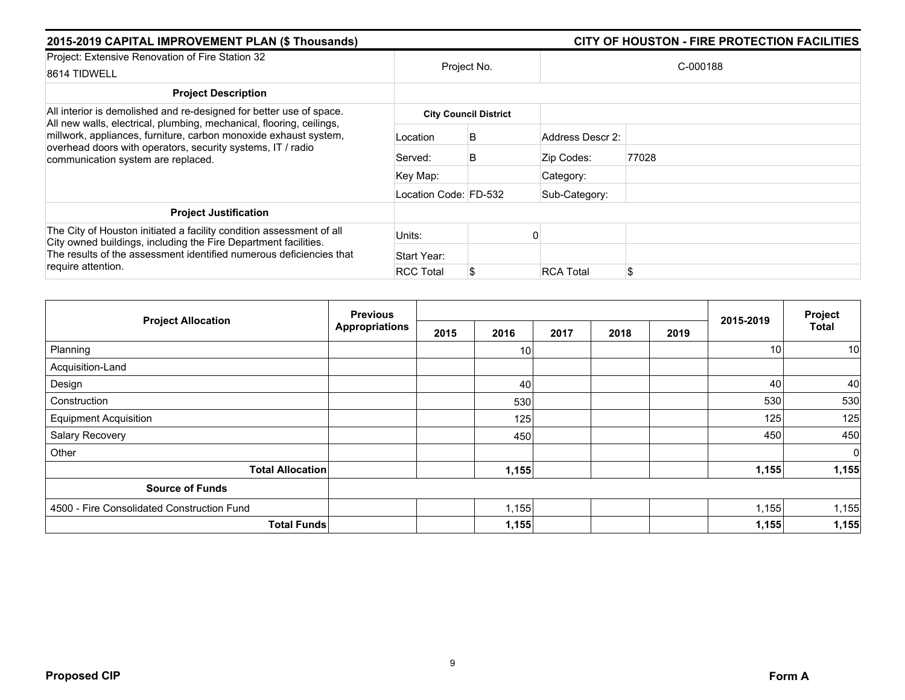| 2015-2019 CAPITAL IMPROVEMENT PLAN (\$ Thousands)                                                                                                                                                                                             | CITY OF HOUSTON - FIRE PROTECTION FACILITIES |                              |                  |          |  |
|-----------------------------------------------------------------------------------------------------------------------------------------------------------------------------------------------------------------------------------------------|----------------------------------------------|------------------------------|------------------|----------|--|
| Project: Extensive Renovation of Fire Station 32<br>8614 TIDWELL                                                                                                                                                                              |                                              | Project No.                  |                  | C-000188 |  |
| <b>Project Description</b>                                                                                                                                                                                                                    |                                              |                              |                  |          |  |
| All interior is demolished and re-designed for better use of space.                                                                                                                                                                           |                                              | <b>City Council District</b> |                  |          |  |
| All new walls, electrical, plumbing, mechanical, flooring, ceilings,<br>millwork, appliances, furniture, carbon monoxide exhaust system,<br>overhead doors with operators, security systems, IT / radio<br>communication system are replaced. | Location                                     | B                            | Address Descr 2: |          |  |
|                                                                                                                                                                                                                                               | Served:                                      | B                            | Zip Codes:       | 77028    |  |
|                                                                                                                                                                                                                                               | Key Map:                                     |                              | Category:        |          |  |
|                                                                                                                                                                                                                                               | Location Code: FD-532                        |                              | Sub-Category:    |          |  |
| <b>Project Justification</b>                                                                                                                                                                                                                  |                                              |                              |                  |          |  |
| The City of Houston initiated a facility condition assessment of all<br>City owned buildings, including the Fire Department facilities.<br>The results of the assessment identified numerous deficiencies that<br>require attention.          | Units:                                       |                              |                  |          |  |
|                                                                                                                                                                                                                                               | Start Year:                                  |                              |                  |          |  |
|                                                                                                                                                                                                                                               | <b>RCC Total</b>                             |                              | <b>RCA Total</b> | \$       |  |

| <b>Project Allocation</b>                  | <b>Previous</b>       |      |                 |      | Project |      |           |              |
|--------------------------------------------|-----------------------|------|-----------------|------|---------|------|-----------|--------------|
|                                            | <b>Appropriations</b> | 2015 | 2016            | 2017 | 2018    | 2019 | 2015-2019 | <b>Total</b> |
| Planning                                   |                       |      | 10 <sup>1</sup> |      |         |      | 10        | 10           |
| Acquisition-Land                           |                       |      |                 |      |         |      |           |              |
| Design                                     |                       |      | 40              |      |         |      | 40        | 40           |
| Construction                               |                       |      | 530             |      |         |      | 530       | 530          |
| <b>Equipment Acquisition</b>               |                       |      | 125             |      |         |      | 125       | 125          |
| Salary Recovery                            |                       |      | 450             |      |         |      | 450       | 450          |
| Other                                      |                       |      |                 |      |         |      |           | $\mathbf 0$  |
| <b>Total Allocation</b>                    |                       |      | 1,155           |      |         |      | 1,155     | 1,155        |
| <b>Source of Funds</b>                     |                       |      |                 |      |         |      |           |              |
| 4500 - Fire Consolidated Construction Fund |                       |      | 1,155           |      |         |      | 1,155     | 1,155        |
| <b>Total Funds</b>                         |                       |      | 1,155           |      |         |      | 1,155     | 1,155        |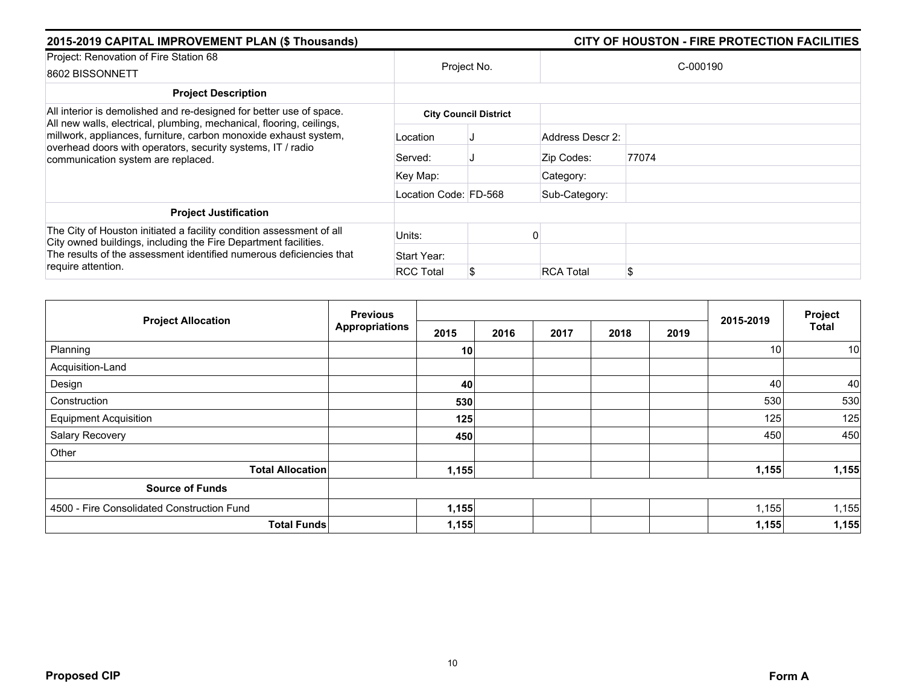| 2015-2019 CAPITAL IMPROVEMENT PLAN (\$ Thousands)                                                                                                                                                              |                       | CITY OF HOUSTON - FIRE PROTECTION FACILITIES |                  |          |  |  |  |  |  |
|----------------------------------------------------------------------------------------------------------------------------------------------------------------------------------------------------------------|-----------------------|----------------------------------------------|------------------|----------|--|--|--|--|--|
| Project: Renovation of Fire Station 68<br>8602 BISSONNETT                                                                                                                                                      |                       | Project No.                                  |                  | C-000190 |  |  |  |  |  |
| <b>Project Description</b>                                                                                                                                                                                     |                       |                                              |                  |          |  |  |  |  |  |
| All interior is demolished and re-designed for better use of space.<br>All new walls, electrical, plumbing, mechanical, flooring, ceilings,                                                                    |                       | <b>City Council District</b>                 |                  |          |  |  |  |  |  |
| millwork, appliances, furniture, carbon monoxide exhaust system,<br>overhead doors with operators, security systems, IT / radio<br>communication system are replaced.                                          | Location              |                                              | Address Descr 2: |          |  |  |  |  |  |
|                                                                                                                                                                                                                | Served:               |                                              | Zip Codes:       | 77074    |  |  |  |  |  |
|                                                                                                                                                                                                                | Key Map:              |                                              | Category:        |          |  |  |  |  |  |
|                                                                                                                                                                                                                | Location Code: FD-568 |                                              | Sub-Category:    |          |  |  |  |  |  |
| <b>Project Justification</b>                                                                                                                                                                                   |                       |                                              |                  |          |  |  |  |  |  |
| The City of Houston initiated a facility condition assessment of all<br>City owned buildings, including the Fire Department facilities.<br>The results of the assessment identified numerous deficiencies that | Units:                |                                              |                  |          |  |  |  |  |  |
|                                                                                                                                                                                                                | Start Year:           |                                              |                  |          |  |  |  |  |  |
| require attention.                                                                                                                                                                                             | <b>RCC Total</b>      |                                              | <b>RCA Total</b> | \$       |  |  |  |  |  |

| <b>Project Allocation</b>                  | <b>Previous</b>       |       |      |      |      |      | Project   |              |
|--------------------------------------------|-----------------------|-------|------|------|------|------|-----------|--------------|
|                                            | <b>Appropriations</b> | 2015  | 2016 | 2017 | 2018 | 2019 | 2015-2019 | <b>Total</b> |
| Planning                                   |                       | 10    |      |      |      |      | 10        | 10           |
| Acquisition-Land                           |                       |       |      |      |      |      |           |              |
| Design                                     |                       | 40    |      |      |      |      | 40        | 40           |
| Construction                               |                       | 530   |      |      |      |      | 530       | 530          |
| <b>Equipment Acquisition</b>               |                       | 125   |      |      |      |      | 125       | 125          |
| Salary Recovery                            |                       | 450   |      |      |      |      | 450       | 450          |
| Other                                      |                       |       |      |      |      |      |           |              |
| <b>Total Allocation</b>                    |                       | 1,155 |      |      |      |      | 1,155     | 1,155        |
| <b>Source of Funds</b>                     |                       |       |      |      |      |      |           |              |
| 4500 - Fire Consolidated Construction Fund |                       | 1,155 |      |      |      |      | 1,155     | 1,155        |
| <b>Total Funds</b>                         |                       | 1,155 |      |      |      |      | 1,155     | 1,155        |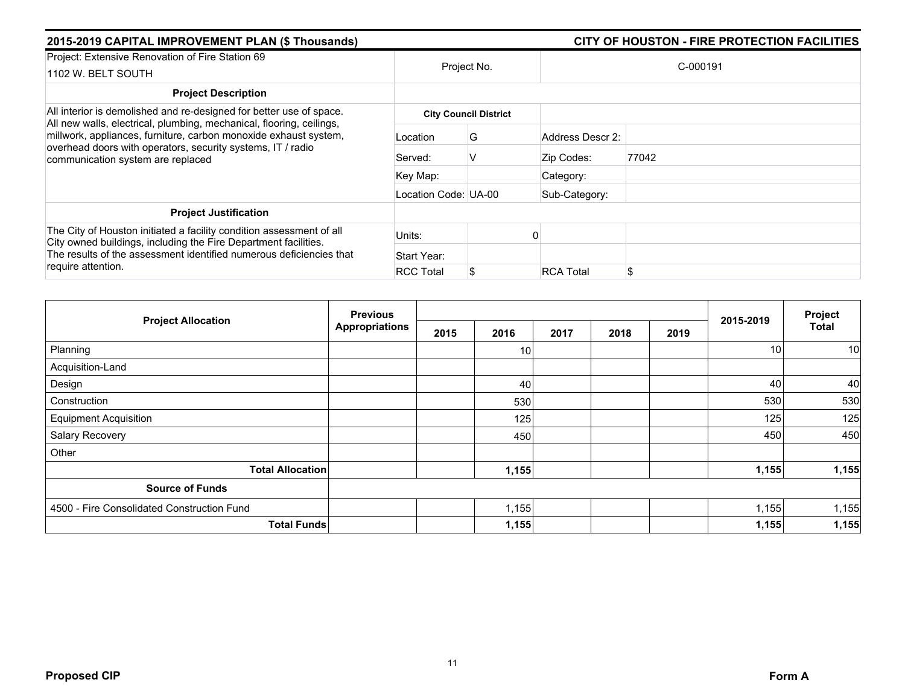| 2015-2019 CAPITAL IMPROVEMENT PLAN (\$ Thousands)                                                                                                                                                                                            | CITY OF HOUSTON - FIRE PROTECTION FACILITIES |                              |                  |          |  |
|----------------------------------------------------------------------------------------------------------------------------------------------------------------------------------------------------------------------------------------------|----------------------------------------------|------------------------------|------------------|----------|--|
| Project: Extensive Renovation of Fire Station 69<br>1102 W. BELT SOUTH                                                                                                                                                                       |                                              | Project No.                  |                  | C-000191 |  |
| <b>Project Description</b>                                                                                                                                                                                                                   |                                              |                              |                  |          |  |
| All interior is demolished and re-designed for better use of space.                                                                                                                                                                          |                                              | <b>City Council District</b> |                  |          |  |
| All new walls, electrical, plumbing, mechanical, flooring, ceilings,<br>millwork, appliances, furniture, carbon monoxide exhaust system,<br>overhead doors with operators, security systems, IT / radio<br>communication system are replaced | Location                                     | G                            | Address Descr 2: |          |  |
|                                                                                                                                                                                                                                              | Served:                                      | V                            | Zip Codes:       | 77042    |  |
|                                                                                                                                                                                                                                              | Key Map:                                     |                              | Category:        |          |  |
|                                                                                                                                                                                                                                              | Location Code: UA-00                         |                              | Sub-Category:    |          |  |
| <b>Project Justification</b>                                                                                                                                                                                                                 |                                              |                              |                  |          |  |
| The City of Houston initiated a facility condition assessment of all<br>City owned buildings, including the Fire Department facilities.<br>The results of the assessment identified numerous deficiencies that<br>require attention.         | Units:                                       |                              |                  |          |  |
|                                                                                                                                                                                                                                              | Start Year:                                  |                              |                  |          |  |
|                                                                                                                                                                                                                                              | <b>RCC Total</b>                             |                              | <b>RCA Total</b> | \$       |  |

| <b>Project Allocation</b>                  | <b>Previous</b>       |      |                 |      | Project |      |           |              |
|--------------------------------------------|-----------------------|------|-----------------|------|---------|------|-----------|--------------|
|                                            | <b>Appropriations</b> | 2015 | 2016            | 2017 | 2018    | 2019 | 2015-2019 | <b>Total</b> |
| Planning                                   |                       |      | 10 <sup>1</sup> |      |         |      | 10        | 10           |
| Acquisition-Land                           |                       |      |                 |      |         |      |           |              |
| Design                                     |                       |      | 40              |      |         |      | 40        | 40           |
| Construction                               |                       |      | 530             |      |         |      | 530       | 530          |
| <b>Equipment Acquisition</b>               |                       |      | 125             |      |         |      | 125       | 125          |
| Salary Recovery                            |                       |      | 450             |      |         |      | 450       | 450          |
| Other                                      |                       |      |                 |      |         |      |           |              |
| <b>Total Allocation</b>                    |                       |      | 1,155           |      |         |      | 1,155     | 1,155        |
| <b>Source of Funds</b>                     |                       |      |                 |      |         |      |           |              |
| 4500 - Fire Consolidated Construction Fund |                       |      | 1,155           |      |         |      | 1,155     | 1,155        |
| <b>Total Funds</b>                         |                       |      | 1,155           |      |         |      | 1,155     | 1,155        |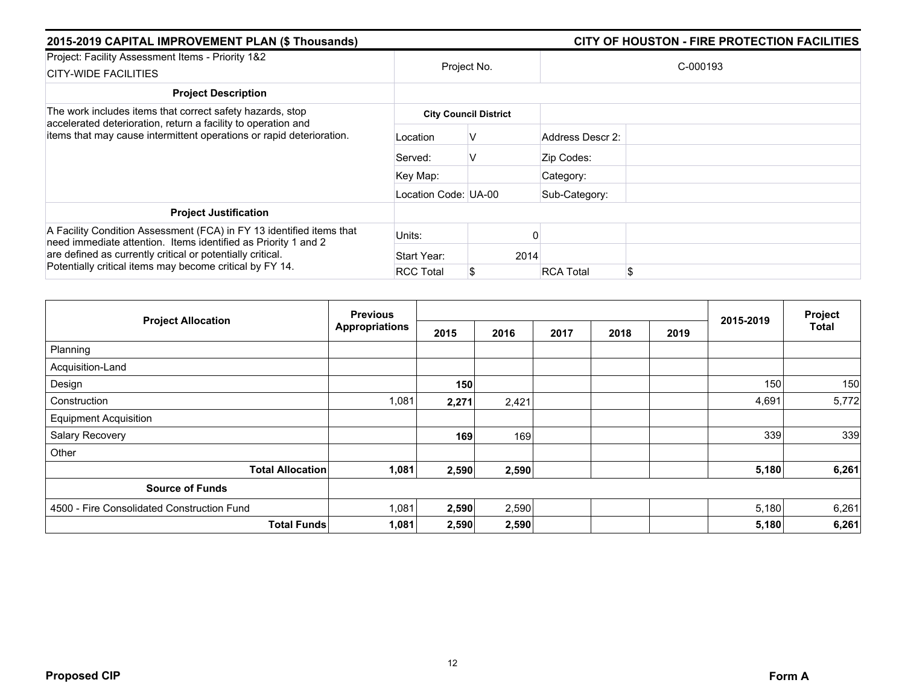| 2015-2019 CAPITAL IMPROVEMENT PLAN (\$ Thousands)                                                                                                                                                                                                                |                      | CITY OF HOUSTON - FIRE PROTECTION FACILITIES |                        |  |  |  |  |  |
|------------------------------------------------------------------------------------------------------------------------------------------------------------------------------------------------------------------------------------------------------------------|----------------------|----------------------------------------------|------------------------|--|--|--|--|--|
| Project: Facility Assessment Items - Priority 1&2<br><b>CITY-WIDE FACILITIES</b>                                                                                                                                                                                 |                      | Project No.                                  | C-000193               |  |  |  |  |  |
| <b>Project Description</b>                                                                                                                                                                                                                                       |                      |                                              |                        |  |  |  |  |  |
| The work includes items that correct safety hazards, stop                                                                                                                                                                                                        |                      | <b>City Council District</b>                 |                        |  |  |  |  |  |
| accelerated deterioration, return a facility to operation and<br>items that may cause intermittent operations or rapid deterioration.                                                                                                                            | Location             | v                                            | Address Descr 2:       |  |  |  |  |  |
|                                                                                                                                                                                                                                                                  | Served:              | V                                            | Zip Codes:             |  |  |  |  |  |
|                                                                                                                                                                                                                                                                  | Key Map:             |                                              | Category:              |  |  |  |  |  |
|                                                                                                                                                                                                                                                                  | Location Code: UA-00 |                                              | Sub-Category:          |  |  |  |  |  |
| <b>Project Justification</b>                                                                                                                                                                                                                                     |                      |                                              |                        |  |  |  |  |  |
| A Facility Condition Assessment (FCA) in FY 13 identified items that<br>need immediate attention. Items identified as Priority 1 and 2<br>are defined as currently critical or potentially critical.<br>Potentially critical items may become critical by FY 14. | Units:               |                                              |                        |  |  |  |  |  |
|                                                                                                                                                                                                                                                                  | Start Year:          | 2014                                         |                        |  |  |  |  |  |
|                                                                                                                                                                                                                                                                  | <b>RCC Total</b>     |                                              | \$<br><b>RCA Total</b> |  |  |  |  |  |

|                                            | <b>Previous</b>       |       |       |      |      | Project |           |              |
|--------------------------------------------|-----------------------|-------|-------|------|------|---------|-----------|--------------|
| <b>Project Allocation</b>                  | <b>Appropriations</b> | 2015  | 2016  | 2017 | 2018 | 2019    | 2015-2019 | <b>Total</b> |
| Planning                                   |                       |       |       |      |      |         |           |              |
| Acquisition-Land                           |                       |       |       |      |      |         |           |              |
| Design                                     |                       | 150   |       |      |      |         | 150       | 150          |
| Construction                               | 1,081                 | 2,271 | 2,421 |      |      |         | 4,691     | 5,772        |
| <b>Equipment Acquisition</b>               |                       |       |       |      |      |         |           |              |
| Salary Recovery                            |                       | 169   | 169   |      |      |         | 339       | 339          |
| Other                                      |                       |       |       |      |      |         |           |              |
| <b>Total Allocation</b>                    | 1,081                 | 2,590 | 2,590 |      |      |         | 5,180     | 6,261        |
| <b>Source of Funds</b>                     |                       |       |       |      |      |         |           |              |
| 4500 - Fire Consolidated Construction Fund | 1,081                 | 2,590 | 2,590 |      |      |         | 5,180     | 6,261        |
| <b>Total Funds</b>                         | 1,081                 | 2,590 | 2,590 |      |      |         | 5,180     | 6,261        |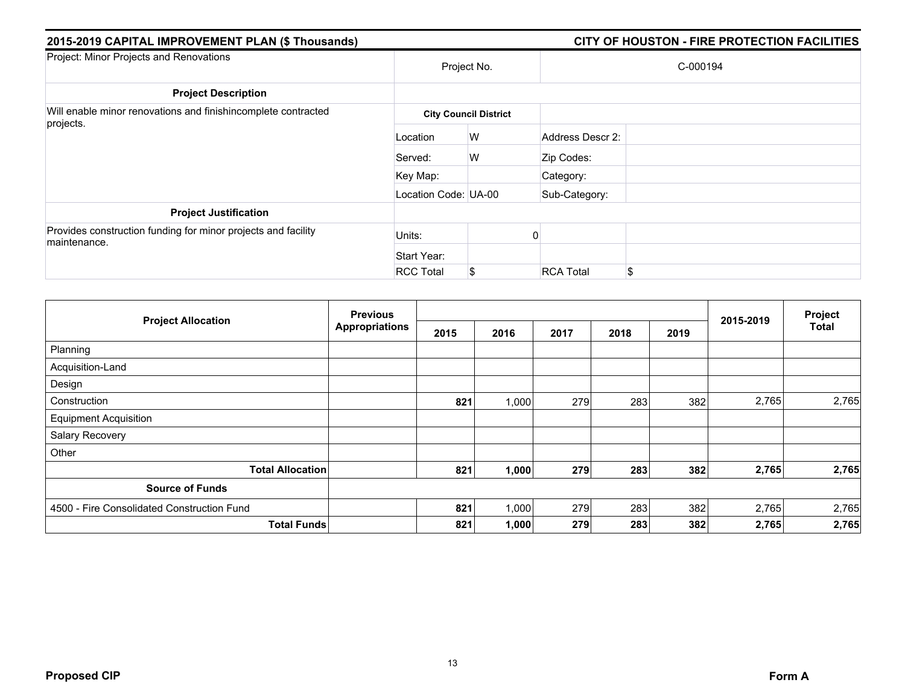| 2015-2019 CAPITAL IMPROVEMENT PLAN (\$ Thousands)                             |                      |                              |                  | CITY OF HOUSTON - FIRE PROTECTION FACILITIES |
|-------------------------------------------------------------------------------|----------------------|------------------------------|------------------|----------------------------------------------|
| Project: Minor Projects and Renovations                                       |                      | Project No.                  |                  | C-000194                                     |
| <b>Project Description</b>                                                    |                      |                              |                  |                                              |
| Will enable minor renovations and finishincomplete contracted                 |                      | <b>City Council District</b> |                  |                                              |
| projects.                                                                     | Location             | W                            | Address Descr 2: |                                              |
|                                                                               | Served:              | W                            | Zip Codes:       |                                              |
|                                                                               | Key Map:             |                              | Category:        |                                              |
|                                                                               | Location Code: UA-00 |                              | Sub-Category:    |                                              |
| <b>Project Justification</b>                                                  |                      |                              |                  |                                              |
| Provides construction funding for minor projects and facility<br>maintenance. | Units:               |                              |                  |                                              |
|                                                                               | Start Year:          |                              |                  |                                              |
|                                                                               | <b>RCC Total</b>     | \$                           | <b>RCA Total</b> | \$                                           |

| <b>Project Allocation</b>                  | <b>Previous</b>       |      |       |      |      | Project |           |              |
|--------------------------------------------|-----------------------|------|-------|------|------|---------|-----------|--------------|
|                                            | <b>Appropriations</b> | 2015 | 2016  | 2017 | 2018 | 2019    | 2015-2019 | <b>Total</b> |
| Planning                                   |                       |      |       |      |      |         |           |              |
| Acquisition-Land                           |                       |      |       |      |      |         |           |              |
| Design                                     |                       |      |       |      |      |         |           |              |
| Construction                               |                       | 821  | 1,000 | 279  | 283  | 382     | 2,765     | 2,765        |
| <b>Equipment Acquisition</b>               |                       |      |       |      |      |         |           |              |
| Salary Recovery                            |                       |      |       |      |      |         |           |              |
| Other                                      |                       |      |       |      |      |         |           |              |
| <b>Total Allocation</b>                    |                       | 821  | 1,000 | 279  | 283  | 382     | 2,765     | 2,765        |
| <b>Source of Funds</b>                     |                       |      |       |      |      |         |           |              |
| 4500 - Fire Consolidated Construction Fund |                       | 821  | 1,000 | 279  | 283  | 382     | 2,765     | 2,765        |
| <b>Total Funds</b>                         |                       | 821  | 1,000 | 279  | 283  | 382     | 2,765     | 2,765        |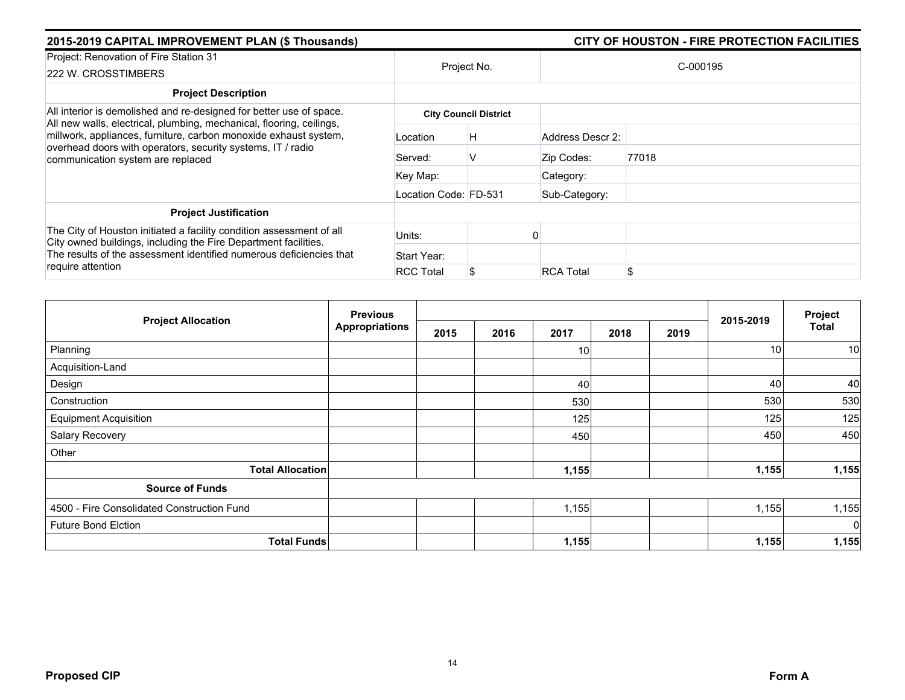| 2015-2019 CAPITAL IMPROVEMENT PLAN (\$ Thousands)                                                                                                                                                                                            |                       |                              |                  | CITY OF HOUSTON - FIRE PROTECTION FACILITIES |
|----------------------------------------------------------------------------------------------------------------------------------------------------------------------------------------------------------------------------------------------|-----------------------|------------------------------|------------------|----------------------------------------------|
| Project: Renovation of Fire Station 31<br>222 W. CROSSTIMBERS                                                                                                                                                                                |                       | Project No.                  |                  | C-000195                                     |
| <b>Project Description</b>                                                                                                                                                                                                                   |                       |                              |                  |                                              |
| All interior is demolished and re-designed for better use of space.                                                                                                                                                                          |                       | <b>City Council District</b> |                  |                                              |
| All new walls, electrical, plumbing, mechanical, flooring, ceilings,<br>millwork, appliances, furniture, carbon monoxide exhaust system,<br>overhead doors with operators, security systems, IT / radio<br>communication system are replaced | Location              | H                            | Address Descr 2: |                                              |
|                                                                                                                                                                                                                                              | Served:               | v                            | Zip Codes:       | 77018                                        |
|                                                                                                                                                                                                                                              | Key Map:              |                              | Category:        |                                              |
|                                                                                                                                                                                                                                              | Location Code: FD-531 |                              | Sub-Category:    |                                              |
| <b>Project Justification</b>                                                                                                                                                                                                                 |                       |                              |                  |                                              |
| The City of Houston initiated a facility condition assessment of all<br>City owned buildings, including the Fire Department facilities.<br>The results of the assessment identified numerous deficiencies that                               | Units:                |                              |                  |                                              |
|                                                                                                                                                                                                                                              | Start Year:           |                              |                  |                                              |
| require attention                                                                                                                                                                                                                            | <b>RCC Total</b>      |                              | <b>RCA Total</b> | \$                                           |

|                                            | <b>Previous</b>       |      |      |                 | Project |      |                 |              |
|--------------------------------------------|-----------------------|------|------|-----------------|---------|------|-----------------|--------------|
| <b>Project Allocation</b>                  | <b>Appropriations</b> | 2015 | 2016 | 2017            | 2018    | 2019 | 2015-2019       | <b>Total</b> |
| Planning                                   |                       |      |      | 10 <sup>1</sup> |         |      | 10 <sup>1</sup> | 10           |
| Acquisition-Land                           |                       |      |      |                 |         |      |                 |              |
| Design                                     |                       |      |      | 40              |         |      | 40              | 40           |
| Construction                               |                       |      |      | 530             |         |      | 530             | 530          |
| <b>Equipment Acquisition</b>               |                       |      |      | 125             |         |      | 125             | 125          |
| Salary Recovery                            |                       |      |      | 450             |         |      | 450             | 450          |
| Other                                      |                       |      |      |                 |         |      |                 |              |
| <b>Total Allocation</b>                    |                       |      |      | 1,155           |         |      | 1,155           | 1,155        |
| <b>Source of Funds</b>                     |                       |      |      |                 |         |      |                 |              |
| 4500 - Fire Consolidated Construction Fund |                       |      |      | 1,155           |         |      | 1,155           | 1,155        |
| <b>Future Bond Elction</b>                 |                       |      |      |                 |         |      |                 | $\mathbf 0$  |
| <b>Total Funds</b>                         |                       |      |      | 1,155           |         |      | 1,155           | 1,155        |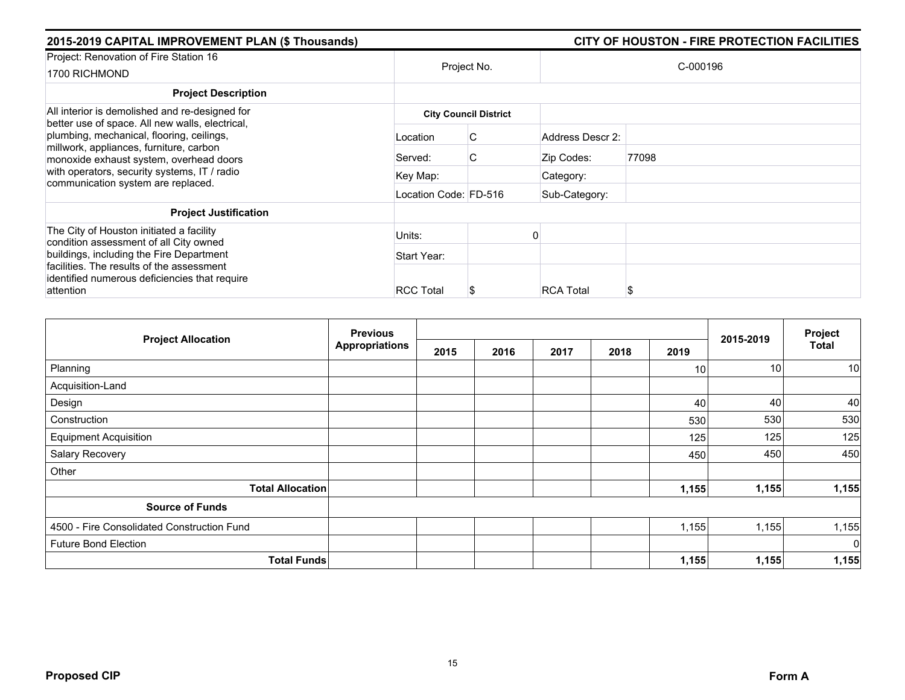| CITY OF HOUSTON - FIRE PROTECTION FACILITIES |
|----------------------------------------------|
|                                              |
|                                              |
|                                              |
|                                              |
|                                              |
|                                              |
|                                              |
|                                              |
|                                              |
|                                              |
|                                              |
|                                              |

| <b>Project Allocation</b>                  | <b>Previous</b>       |      |      | 2015-2019 | Project |                 |       |             |
|--------------------------------------------|-----------------------|------|------|-----------|---------|-----------------|-------|-------------|
|                                            | <b>Appropriations</b> | 2015 | 2016 | 2017      | 2018    | 2019            |       | Total       |
| Planning                                   |                       |      |      |           |         | 10 <sub>1</sub> | 10    | 10          |
| Acquisition-Land                           |                       |      |      |           |         |                 |       |             |
| Design                                     |                       |      |      |           |         | 40              | 40    | 40          |
| Construction                               |                       |      |      |           |         | 530             | 530   | 530         |
| <b>Equipment Acquisition</b>               |                       |      |      |           |         | 125             | 125   | 125         |
| Salary Recovery                            |                       |      |      |           |         | 450             | 450   | 450         |
| Other                                      |                       |      |      |           |         |                 |       |             |
| <b>Total Allocation</b>                    |                       |      |      |           |         | 1,155           | 1,155 | 1,155       |
| <b>Source of Funds</b>                     |                       |      |      |           |         |                 |       |             |
| 4500 - Fire Consolidated Construction Fund |                       |      |      |           |         | 1,155           | 1,155 | 1,155       |
| <b>Future Bond Election</b>                |                       |      |      |           |         |                 |       | $\mathbf 0$ |
| <b>Total Funds</b>                         |                       |      |      |           |         | 1,155           | 1,155 | 1,155       |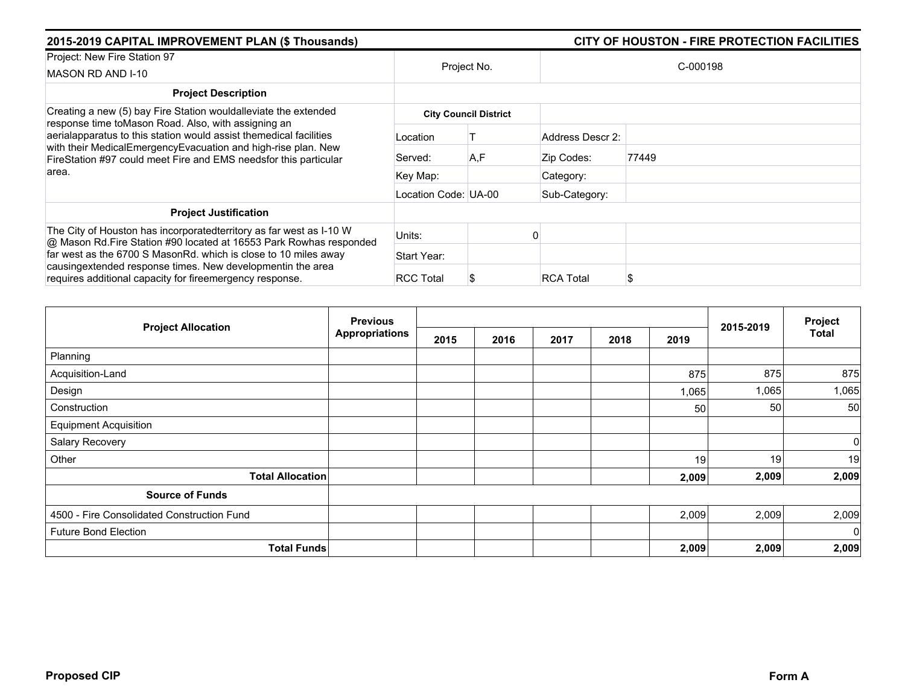| 2015-2019 CAPITAL IMPROVEMENT PLAN (\$ Thousands)                                                                                                                                                       |                      |                              |                  | CITY OF HOUSTON - FIRE PROTECTION FACILITIES |  |  |
|---------------------------------------------------------------------------------------------------------------------------------------------------------------------------------------------------------|----------------------|------------------------------|------------------|----------------------------------------------|--|--|
| Project: New Fire Station 97<br>MASON RD AND I-10                                                                                                                                                       | Project No.          |                              | C-000198         |                                              |  |  |
| <b>Project Description</b>                                                                                                                                                                              |                      |                              |                  |                                              |  |  |
| Creating a new (5) bay Fire Station wouldalleviate the extended<br>response time toMason Road. Also, with assigning an                                                                                  |                      | <b>City Council District</b> |                  |                                              |  |  |
| aerialapparatus to this station would assist themedical facilities<br>with their MedicalEmergencyEvacuation and high-rise plan. New<br>FireStation #97 could meet Fire and EMS needsfor this particular | Location             |                              | Address Descr 2: |                                              |  |  |
|                                                                                                                                                                                                         | Served:              | A,F                          | Zip Codes:       | 77449                                        |  |  |
| area.                                                                                                                                                                                                   | Key Map:             |                              | Category:        |                                              |  |  |
|                                                                                                                                                                                                         | Location Code: UA-00 |                              | Sub-Category:    |                                              |  |  |
| <b>Project Justification</b>                                                                                                                                                                            |                      |                              |                  |                                              |  |  |
| The City of Houston has incorporated territory as far west as I-10 W<br>@ Mason Rd. Fire Station #90 located at 16553 Park Rowhas responded                                                             | Units:               |                              |                  |                                              |  |  |
| far west as the 6700 S MasonRd, which is close to 10 miles away                                                                                                                                         | Start Year:          |                              |                  |                                              |  |  |
| causingextended response times. New developmentin the area<br>requires additional capacity for fireemergency response.                                                                                  | <b>RCC Total</b>     |                              | <b>RCA Total</b> |                                              |  |  |

|                                            | <b>Previous</b>       |      |      | 2015-2019 | Project |       |       |              |
|--------------------------------------------|-----------------------|------|------|-----------|---------|-------|-------|--------------|
| <b>Project Allocation</b>                  | <b>Appropriations</b> | 2015 | 2016 | 2017      | 2018    | 2019  |       | <b>Total</b> |
| Planning                                   |                       |      |      |           |         |       |       |              |
| Acquisition-Land                           |                       |      |      |           |         | 875   | 875   | 875          |
| Design                                     |                       |      |      |           |         | 1,065 | 1,065 | 1,065        |
| Construction                               |                       |      |      |           |         | 50    | 50    | 50           |
| <b>Equipment Acquisition</b>               |                       |      |      |           |         |       |       |              |
| Salary Recovery                            |                       |      |      |           |         |       |       | 0            |
| Other                                      |                       |      |      |           |         | 19    | 19    | 19           |
| <b>Total Allocation</b>                    |                       |      |      |           |         | 2,009 | 2,009 | 2,009        |
| <b>Source of Funds</b>                     |                       |      |      |           |         |       |       |              |
| 4500 - Fire Consolidated Construction Fund |                       |      |      |           |         | 2,009 | 2,009 | 2,009        |
| <b>Future Bond Election</b>                |                       |      |      |           |         |       |       | $\mathbf 0$  |
| <b>Total Funds</b>                         |                       |      |      |           |         | 2,009 | 2,009 | 2,009        |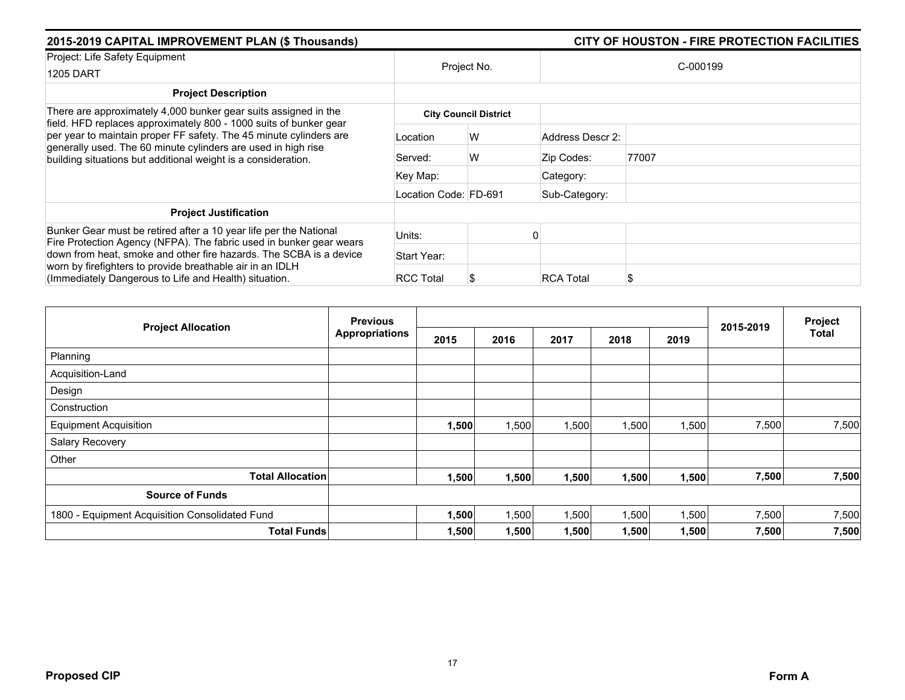| 2015-2019 CAPITAL IMPROVEMENT PLAN (\$ Thousands)                                                                                                                                                                                                                                                                                            |                              | CITY OF HOUSTON - FIRE PROTECTION FACILITIES |                  |          |  |  |  |  |
|----------------------------------------------------------------------------------------------------------------------------------------------------------------------------------------------------------------------------------------------------------------------------------------------------------------------------------------------|------------------------------|----------------------------------------------|------------------|----------|--|--|--|--|
| Project: Life Safety Equipment<br><b>1205 DART</b>                                                                                                                                                                                                                                                                                           |                              | Project No.                                  |                  | C-000199 |  |  |  |  |
| <b>Project Description</b>                                                                                                                                                                                                                                                                                                                   |                              |                                              |                  |          |  |  |  |  |
| There are approximately 4,000 bunker gear suits assigned in the<br>field. HFD replaces approximately 800 - 1000 suits of bunker gear<br>per year to maintain proper FF safety. The 45 minute cylinders are<br>generally used. The 60 minute cylinders are used in high rise<br>building situations but additional weight is a consideration. | <b>City Council District</b> |                                              |                  |          |  |  |  |  |
|                                                                                                                                                                                                                                                                                                                                              | Location                     | W                                            | Address Descr 2: |          |  |  |  |  |
|                                                                                                                                                                                                                                                                                                                                              | Served:                      | W                                            | Zip Codes:       | 77007    |  |  |  |  |
|                                                                                                                                                                                                                                                                                                                                              | Key Map:                     |                                              | Category:        |          |  |  |  |  |
|                                                                                                                                                                                                                                                                                                                                              | Location Code: FD-691        |                                              | Sub-Category:    |          |  |  |  |  |
| <b>Project Justification</b>                                                                                                                                                                                                                                                                                                                 |                              |                                              |                  |          |  |  |  |  |
| Bunker Gear must be retired after a 10 year life per the National<br>Fire Protection Agency (NFPA). The fabric used in bunker gear wears                                                                                                                                                                                                     | Units:                       |                                              |                  |          |  |  |  |  |
| down from heat, smoke and other fire hazards. The SCBA is a device                                                                                                                                                                                                                                                                           | Start Year:                  |                                              |                  |          |  |  |  |  |
| worn by firefighters to provide breathable air in an IDLH<br>(Immediately Dangerous to Life and Health) situation.                                                                                                                                                                                                                           | <b>RCC Total</b>             |                                              | <b>RCA Total</b> | S        |  |  |  |  |

| <b>Project Allocation</b>                      | <b>Previous</b>       |       |       |       | Project |       |           |              |
|------------------------------------------------|-----------------------|-------|-------|-------|---------|-------|-----------|--------------|
|                                                | <b>Appropriations</b> | 2015  | 2016  | 2017  | 2018    | 2019  | 2015-2019 | <b>Total</b> |
| Planning                                       |                       |       |       |       |         |       |           |              |
| Acquisition-Land                               |                       |       |       |       |         |       |           |              |
| Design                                         |                       |       |       |       |         |       |           |              |
| Construction                                   |                       |       |       |       |         |       |           |              |
| <b>Equipment Acquisition</b>                   |                       | 1,500 | 1,500 | 1,500 | 1,500   | 1,500 | 7,500     | 7,500        |
| Salary Recovery                                |                       |       |       |       |         |       |           |              |
| Other                                          |                       |       |       |       |         |       |           |              |
| <b>Total Allocation</b>                        |                       | 1,500 | 1,500 | 1,500 | 1,500   | 1,500 | 7,500     | 7,500        |
| <b>Source of Funds</b>                         |                       |       |       |       |         |       |           |              |
| 1800 - Equipment Acquisition Consolidated Fund |                       | 1,500 | 1,500 | 1,500 | 1,500   | 1,500 | 7,500     | 7,500        |
| <b>Total Funds</b>                             |                       | 1,500 | 1,500 | 1,500 | 1,500   | 1,500 | 7,500     | 7,500        |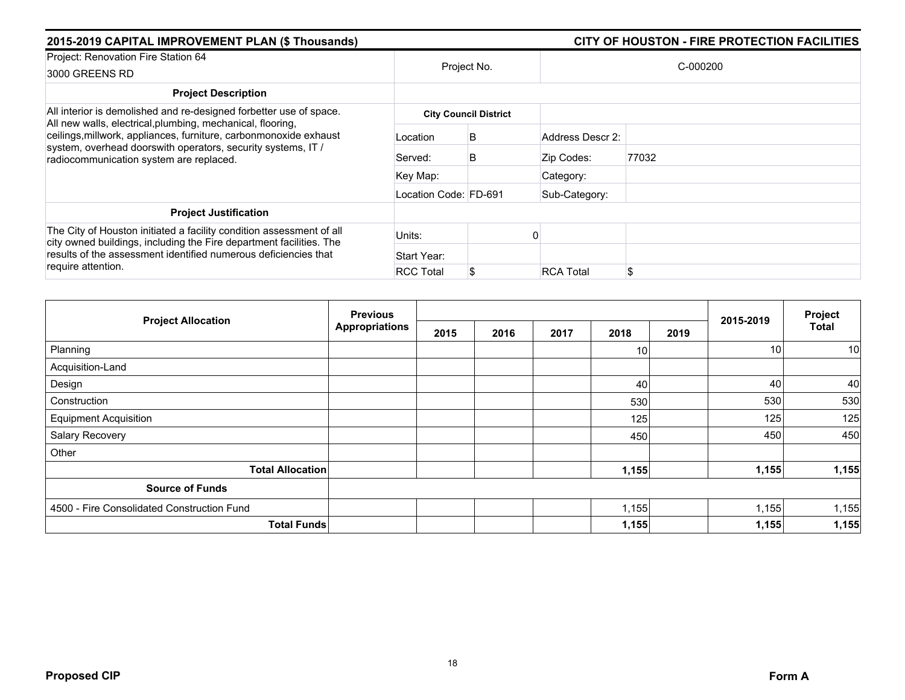| 2015-2019 CAPITAL IMPROVEMENT PLAN (\$ Thousands)                                                                                                                                                                                          |                       | CITY OF HOUSTON - FIRE PROTECTION FACILITIES |                  |          |  |  |
|--------------------------------------------------------------------------------------------------------------------------------------------------------------------------------------------------------------------------------------------|-----------------------|----------------------------------------------|------------------|----------|--|--|
| Project: Renovation Fire Station 64<br>3000 GREENS RD                                                                                                                                                                                      |                       | Project No.                                  |                  | C-000200 |  |  |
| <b>Project Description</b>                                                                                                                                                                                                                 |                       |                                              |                  |          |  |  |
| All interior is demolished and re-designed forbetter use of space.                                                                                                                                                                         |                       | <b>City Council District</b>                 |                  |          |  |  |
| All new walls, electrical, plumbing, mechanical, flooring,<br>ceilings, millwork, appliances, furniture, carbonmonoxide exhaust<br>system, overhead doorswith operators, security systems, IT /<br>radiocommunication system are replaced. | Location              | B                                            | Address Descr 2: |          |  |  |
|                                                                                                                                                                                                                                            | Served:               | B                                            | Zip Codes:       | 77032    |  |  |
|                                                                                                                                                                                                                                            | Key Map:              |                                              | Category:        |          |  |  |
|                                                                                                                                                                                                                                            | Location Code: FD-691 |                                              | Sub-Category:    |          |  |  |
| <b>Project Justification</b>                                                                                                                                                                                                               |                       |                                              |                  |          |  |  |
| The City of Houston initiated a facility condition assessment of all<br>city owned buildings, including the Fire department facilities. The<br>results of the assessment identified numerous deficiencies that<br>require attention.       | Units:                |                                              |                  |          |  |  |
|                                                                                                                                                                                                                                            | Start Year:           |                                              |                  |          |  |  |
|                                                                                                                                                                                                                                            | <b>RCC Total</b>      | S.                                           | <b>RCA Total</b> | \$       |  |  |

| <b>Project Allocation</b>                  | <b>Previous</b>       |      |      |      | Project         |      |                 |              |
|--------------------------------------------|-----------------------|------|------|------|-----------------|------|-----------------|--------------|
|                                            | <b>Appropriations</b> | 2015 | 2016 | 2017 | 2018            | 2019 | 2015-2019       | <b>Total</b> |
| Planning                                   |                       |      |      |      | 10 <sup>1</sup> |      | 10 <sup>1</sup> | 10           |
| Acquisition-Land                           |                       |      |      |      |                 |      |                 |              |
| Design                                     |                       |      |      |      | 40              |      | 40              | 40           |
| Construction                               |                       |      |      |      | 530             |      | 530             | 530          |
| <b>Equipment Acquisition</b>               |                       |      |      |      | 125             |      | 125             | 125          |
| Salary Recovery                            |                       |      |      |      | 450             |      | 450             | 450          |
| Other                                      |                       |      |      |      |                 |      |                 |              |
| <b>Total Allocation</b>                    |                       |      |      |      | 1,155           |      | 1,155           | 1,155        |
| <b>Source of Funds</b>                     |                       |      |      |      |                 |      |                 |              |
| 4500 - Fire Consolidated Construction Fund |                       |      |      |      | 1,155           |      | 1,155           | 1,155        |
| <b>Total Funds</b>                         |                       |      |      |      | 1,155           |      | 1,155           | 1,155        |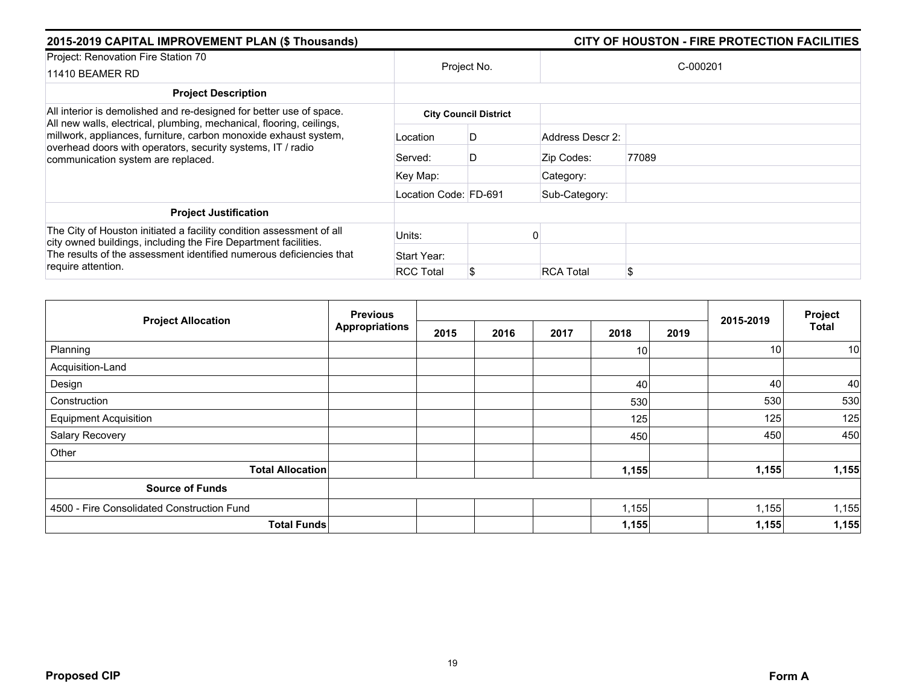| 2015-2019 CAPITAL IMPROVEMENT PLAN (\$ Thousands)                                                                                                                                                                                             |                              | CITY OF HOUSTON - FIRE PROTECTION FACILITIES |                  |          |  |  |  |  |  |
|-----------------------------------------------------------------------------------------------------------------------------------------------------------------------------------------------------------------------------------------------|------------------------------|----------------------------------------------|------------------|----------|--|--|--|--|--|
| Project: Renovation Fire Station 70<br>11410 BEAMER RD                                                                                                                                                                                        |                              | Project No.                                  |                  | C-000201 |  |  |  |  |  |
| <b>Project Description</b>                                                                                                                                                                                                                    |                              |                                              |                  |          |  |  |  |  |  |
| All interior is demolished and re-designed for better use of space.                                                                                                                                                                           | <b>City Council District</b> |                                              |                  |          |  |  |  |  |  |
| All new walls, electrical, plumbing, mechanical, flooring, ceilings,<br>millwork, appliances, furniture, carbon monoxide exhaust system,<br>overhead doors with operators, security systems, IT / radio<br>communication system are replaced. | Location                     | D                                            | Address Descr 2: |          |  |  |  |  |  |
|                                                                                                                                                                                                                                               | Served:                      | D                                            | Zip Codes:       | 77089    |  |  |  |  |  |
|                                                                                                                                                                                                                                               | Key Map:                     |                                              | Category:        |          |  |  |  |  |  |
|                                                                                                                                                                                                                                               | Location Code: FD-691        |                                              | Sub-Category:    |          |  |  |  |  |  |
| <b>Project Justification</b>                                                                                                                                                                                                                  |                              |                                              |                  |          |  |  |  |  |  |
| The City of Houston initiated a facility condition assessment of all<br>city owned buildings, including the Fire Department facilities.<br>The results of the assessment identified numerous deficiencies that                                | Units:                       |                                              |                  |          |  |  |  |  |  |
|                                                                                                                                                                                                                                               | Start Year:                  |                                              |                  |          |  |  |  |  |  |
| require attention.                                                                                                                                                                                                                            | <b>RCC Total</b>             |                                              | <b>RCA Total</b> | \$       |  |  |  |  |  |

| <b>Project Allocation</b>                  | <b>Previous</b>       |      |      |      | 2015-2019       | Project |                 |              |
|--------------------------------------------|-----------------------|------|------|------|-----------------|---------|-----------------|--------------|
|                                            | <b>Appropriations</b> | 2015 | 2016 | 2017 | 2018            | 2019    |                 | <b>Total</b> |
| Planning                                   |                       |      |      |      | 10 <sup>1</sup> |         | 10 <sub>1</sub> | 10           |
| Acquisition-Land                           |                       |      |      |      |                 |         |                 |              |
| Design                                     |                       |      |      |      | 40              |         | 40              | 40           |
| Construction                               |                       |      |      |      | 530             |         | 530             | 530          |
| <b>Equipment Acquisition</b>               |                       |      |      |      | 125             |         | 125             | 125          |
| Salary Recovery                            |                       |      |      |      | 450             |         | 450             | 450          |
| Other                                      |                       |      |      |      |                 |         |                 |              |
| <b>Total Allocation</b>                    |                       |      |      |      | 1,155           |         | 1,155           | 1,155        |
| <b>Source of Funds</b>                     |                       |      |      |      |                 |         |                 |              |
| 4500 - Fire Consolidated Construction Fund |                       |      |      |      | 1,155           |         | 1,155           | 1,155        |
| <b>Total Funds</b>                         |                       |      |      |      | 1,155           |         | 1,155           | 1,155        |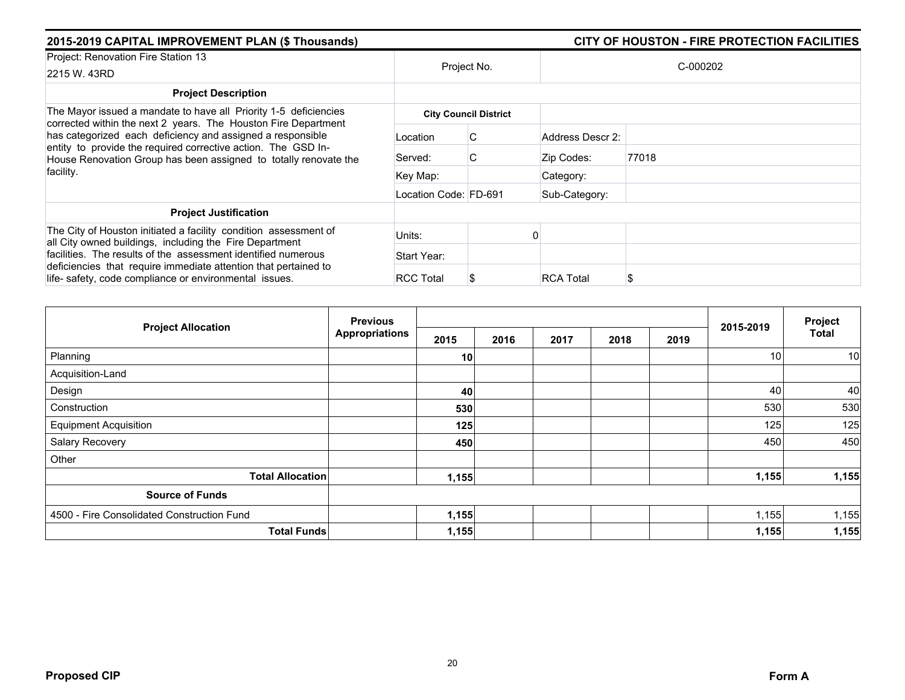| 2015-2019 CAPITAL IMPROVEMENT PLAN (\$ Thousands)                                                                                                                                                                                                                 |                       | CITY OF HOUSTON - FIRE PROTECTION FACILITIES |                  |       |  |  |  |
|-------------------------------------------------------------------------------------------------------------------------------------------------------------------------------------------------------------------------------------------------------------------|-----------------------|----------------------------------------------|------------------|-------|--|--|--|
| Project: Renovation Fire Station 13<br>2215 W. 43RD                                                                                                                                                                                                               | Project No.           |                                              | C-000202         |       |  |  |  |
| <b>Project Description</b>                                                                                                                                                                                                                                        |                       |                                              |                  |       |  |  |  |
| The Mayor issued a mandate to have all Priority 1-5 deficiencies                                                                                                                                                                                                  |                       | <b>City Council District</b>                 |                  |       |  |  |  |
| corrected within the next 2 years. The Houston Fire Department<br>has categorized each deficiency and assigned a responsible<br>entity to provide the required corrective action. The GSD In-<br>House Renovation Group has been assigned to totally renovate the | Location              | C                                            | Address Descr 2: |       |  |  |  |
|                                                                                                                                                                                                                                                                   | Served:               | C                                            | Zip Codes:       | 77018 |  |  |  |
| facility.                                                                                                                                                                                                                                                         | Key Map:              |                                              | Category:        |       |  |  |  |
|                                                                                                                                                                                                                                                                   | Location Code: FD-691 |                                              | Sub-Category:    |       |  |  |  |
| <b>Project Justification</b>                                                                                                                                                                                                                                      |                       |                                              |                  |       |  |  |  |
| The City of Houston initiated a facility condition assessment of<br>all City owned buildings, including the Fire Department                                                                                                                                       | Units:                |                                              |                  |       |  |  |  |
| facilities. The results of the assessment identified numerous                                                                                                                                                                                                     | Start Year:           |                                              |                  |       |  |  |  |
| deficiencies that require immediate attention that pertained to<br>life-safety, code compliance or environmental issues.                                                                                                                                          | <b>RCC Total</b>      |                                              | <b>RCA Total</b> |       |  |  |  |

| <b>Project Allocation</b>                  | <b>Previous</b><br><b>Appropriations</b> |       |      |      |      | Project |           |              |
|--------------------------------------------|------------------------------------------|-------|------|------|------|---------|-----------|--------------|
|                                            |                                          | 2015  | 2016 | 2017 | 2018 | 2019    | 2015-2019 | <b>Total</b> |
| Planning                                   |                                          | 10    |      |      |      |         | 10        | 10           |
| Acquisition-Land                           |                                          |       |      |      |      |         |           |              |
| Design                                     |                                          | 40    |      |      |      |         | 40        | 40           |
| Construction                               |                                          | 530   |      |      |      |         | 530       | 530          |
| <b>Equipment Acquisition</b>               |                                          | 125   |      |      |      |         | 125       | 125          |
| Salary Recovery                            |                                          | 450   |      |      |      |         | 450       | 450          |
| Other                                      |                                          |       |      |      |      |         |           |              |
| <b>Total Allocation</b>                    |                                          | 1,155 |      |      |      |         | 1,155     | 1,155        |
| <b>Source of Funds</b>                     |                                          |       |      |      |      |         |           |              |
| 4500 - Fire Consolidated Construction Fund |                                          | 1,155 |      |      |      |         | 1,155     | 1,155        |
| <b>Total Funds</b>                         |                                          | 1,155 |      |      |      |         | 1,155     | 1,155        |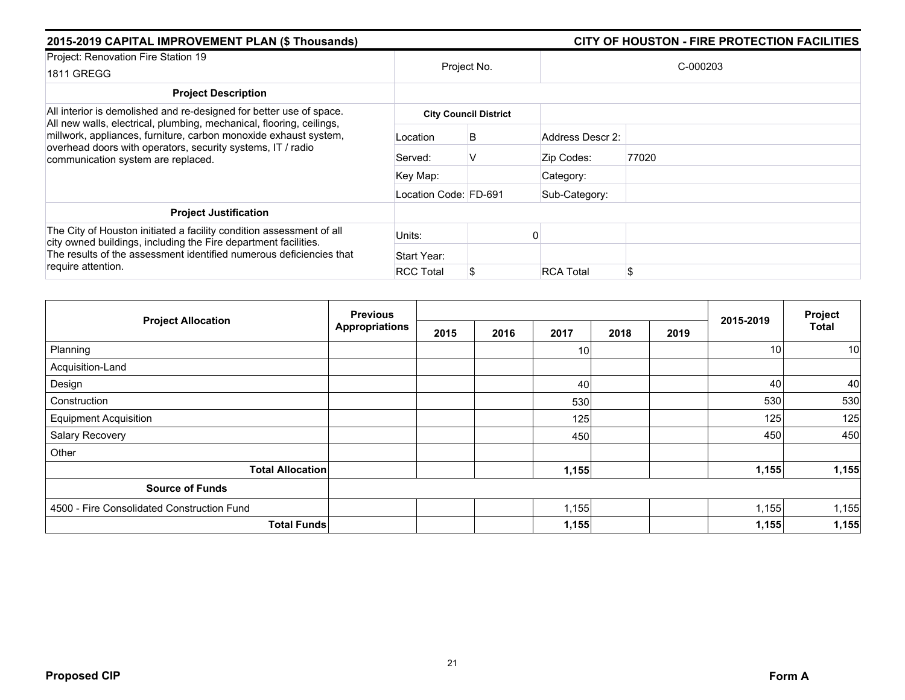| 2015-2019 CAPITAL IMPROVEMENT PLAN (\$ Thousands)                                                                                                                                                              |                       | CITY OF HOUSTON - FIRE PROTECTION FACILITIES |                  |       |  |  |  |
|----------------------------------------------------------------------------------------------------------------------------------------------------------------------------------------------------------------|-----------------------|----------------------------------------------|------------------|-------|--|--|--|
| Project: Renovation Fire Station 19                                                                                                                                                                            |                       |                                              | C-000203         |       |  |  |  |
| <b>1811 GREGG</b>                                                                                                                                                                                              |                       | Project No.                                  |                  |       |  |  |  |
| <b>Project Description</b>                                                                                                                                                                                     |                       |                                              |                  |       |  |  |  |
| All interior is demolished and re-designed for better use of space.<br>All new walls, electrical, plumbing, mechanical, flooring, ceilings,                                                                    |                       | <b>City Council District</b>                 |                  |       |  |  |  |
| millwork, appliances, furniture, carbon monoxide exhaust system,<br>overhead doors with operators, security systems, IT / radio<br>communication system are replaced.                                          | Location              | B                                            | Address Descr 2: |       |  |  |  |
|                                                                                                                                                                                                                | Served:               | v                                            | Zip Codes:       | 77020 |  |  |  |
|                                                                                                                                                                                                                | Key Map:              |                                              | Category:        |       |  |  |  |
|                                                                                                                                                                                                                | Location Code: FD-691 |                                              | Sub-Category:    |       |  |  |  |
| <b>Project Justification</b>                                                                                                                                                                                   |                       |                                              |                  |       |  |  |  |
| The City of Houston initiated a facility condition assessment of all<br>city owned buildings, including the Fire department facilities.<br>The results of the assessment identified numerous deficiencies that | Units:                |                                              |                  |       |  |  |  |
|                                                                                                                                                                                                                | Start Year:           |                                              |                  |       |  |  |  |
| require attention.                                                                                                                                                                                             | <b>RCC Total</b>      |                                              | <b>RCA Total</b> | \$    |  |  |  |

| <b>Project Allocation</b>                  | <b>Previous</b>       |      |      |       |      | 2015-2019 | Project |              |
|--------------------------------------------|-----------------------|------|------|-------|------|-----------|---------|--------------|
|                                            | <b>Appropriations</b> | 2015 | 2016 | 2017  | 2018 | 2019      |         | <b>Total</b> |
| Planning                                   |                       |      |      | 10    |      |           | 10      | 10           |
| Acquisition-Land                           |                       |      |      |       |      |           |         |              |
| Design                                     |                       |      |      | 40    |      |           | 40      | 40           |
| Construction                               |                       |      |      | 530   |      |           | 530     | 530          |
| <b>Equipment Acquisition</b>               |                       |      |      | 125   |      |           | 125     | 125          |
| Salary Recovery                            |                       |      |      | 450   |      |           | 450     | 450          |
| Other                                      |                       |      |      |       |      |           |         |              |
| <b>Total Allocation</b>                    |                       |      |      | 1,155 |      |           | 1,155   | 1,155        |
| <b>Source of Funds</b>                     |                       |      |      |       |      |           |         |              |
| 4500 - Fire Consolidated Construction Fund |                       |      |      | 1,155 |      |           | 1,155   | 1,155        |
| <b>Total Funds</b>                         |                       |      |      | 1,155 |      |           | 1,155   | 1,155        |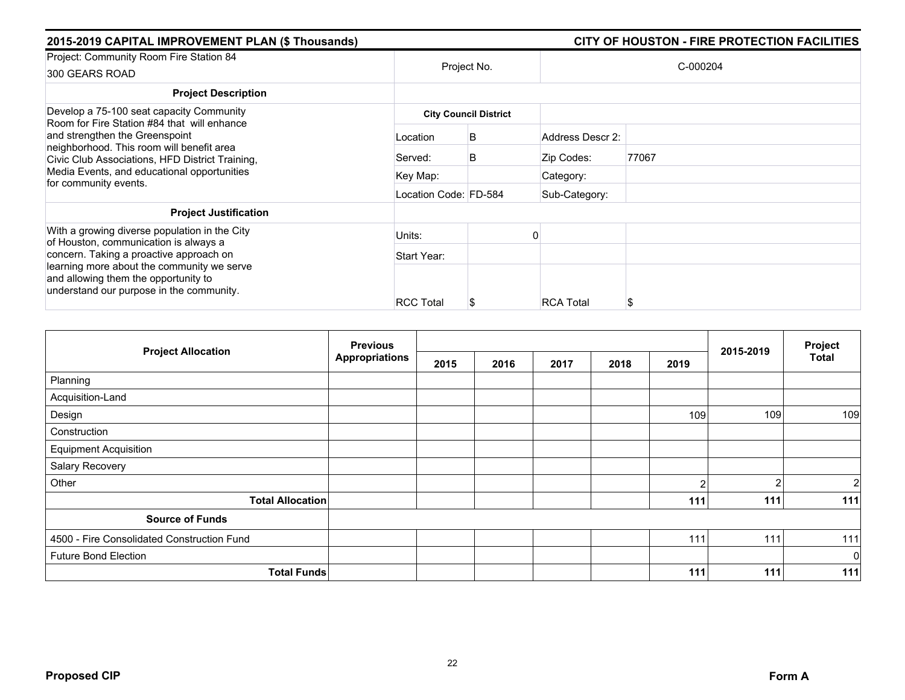| 2015-2019 CAPITAL IMPROVEMENT PLAN (\$ Thousands)                                                                                                                         |                       |                              |                  | CITY OF HOUSTON - FIRE PROTECTION FACILITIES |
|---------------------------------------------------------------------------------------------------------------------------------------------------------------------------|-----------------------|------------------------------|------------------|----------------------------------------------|
| Project: Community Room Fire Station 84<br>300 GEARS ROAD                                                                                                                 | Project No.           |                              |                  | C-000204                                     |
| <b>Project Description</b>                                                                                                                                                |                       |                              |                  |                                              |
| Develop a 75-100 seat capacity Community<br>Room for Fire Station #84 that will enhance                                                                                   |                       | <b>City Council District</b> |                  |                                              |
| and strengthen the Greenspoint<br>neighborhood. This room will benefit area<br>Civic Club Associations, HFD District Training,                                            | Location              | B                            | Address Descr 2: |                                              |
|                                                                                                                                                                           | Served:               | B                            | Zip Codes:       | 77067                                        |
| Media Events, and educational opportunities<br>for community events.                                                                                                      | Key Map:              |                              | Category:        |                                              |
|                                                                                                                                                                           | Location Code: FD-584 |                              | Sub-Category:    |                                              |
| <b>Project Justification</b>                                                                                                                                              |                       |                              |                  |                                              |
| With a growing diverse population in the City<br>of Houston, communication is always a                                                                                    | Units:                |                              |                  |                                              |
| concern. Taking a proactive approach on<br>learning more about the community we serve<br>and allowing them the opportunity to<br>understand our purpose in the community. | Start Year:           |                              |                  |                                              |
|                                                                                                                                                                           | <b>RCC Total</b>      |                              | <b>RCA Total</b> | S                                            |

|                                            | <b>Previous</b>       |      |      | Project |      |                |           |                |
|--------------------------------------------|-----------------------|------|------|---------|------|----------------|-----------|----------------|
| <b>Project Allocation</b>                  | <b>Appropriations</b> | 2015 | 2016 | 2017    | 2018 | 2019           | 2015-2019 | Total          |
| Planning                                   |                       |      |      |         |      |                |           |                |
| Acquisition-Land                           |                       |      |      |         |      |                |           |                |
| Design                                     |                       |      |      |         |      | 109            | 109       | 109            |
| Construction                               |                       |      |      |         |      |                |           |                |
| <b>Equipment Acquisition</b>               |                       |      |      |         |      |                |           |                |
| Salary Recovery                            |                       |      |      |         |      |                |           |                |
| Other                                      |                       |      |      |         |      | $\overline{2}$ | c         | $\overline{2}$ |
| <b>Total Allocation</b>                    |                       |      |      |         |      | 111            | 111       | 111            |
| <b>Source of Funds</b>                     |                       |      |      |         |      |                |           |                |
| 4500 - Fire Consolidated Construction Fund |                       |      |      |         |      | 111            | 111       | 111            |
| <b>Future Bond Election</b>                |                       |      |      |         |      |                |           | $\mathbf 0$    |
| <b>Total Funds</b>                         |                       |      |      |         |      | 111            | 111       | 111            |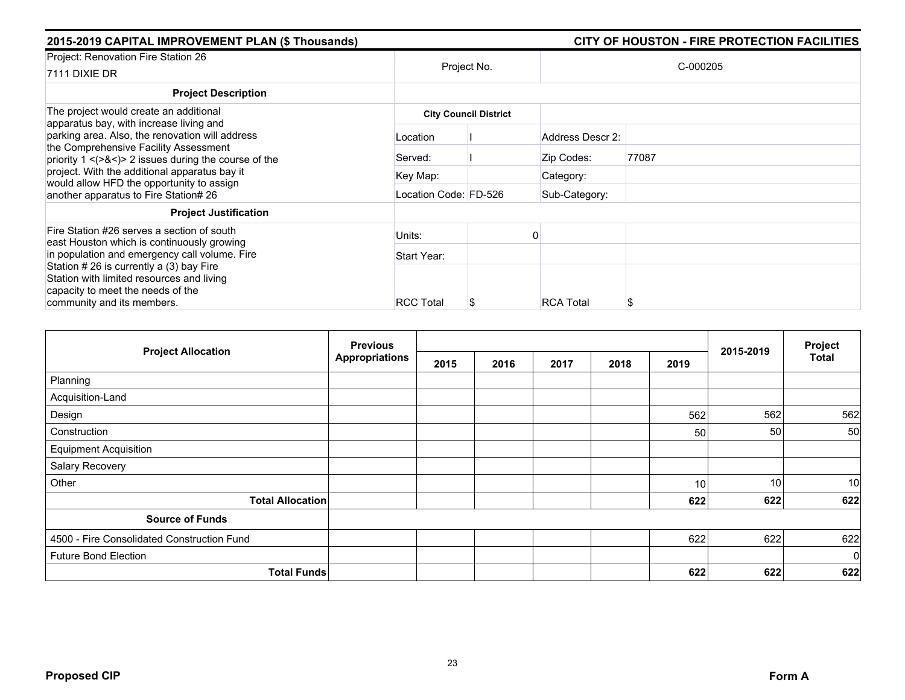| 2015-2019 CAPITAL IMPROVEMENT PLAN (\$ Thousands)                                                      |                              | CITY OF HOUSTON - FIRE PROTECTION FACILITIES |                  |          |  |  |  |  |
|--------------------------------------------------------------------------------------------------------|------------------------------|----------------------------------------------|------------------|----------|--|--|--|--|
| Project: Renovation Fire Station 26<br>7111 DIXIE DR                                                   |                              | Project No.                                  |                  | C-000205 |  |  |  |  |
| <b>Project Description</b>                                                                             |                              |                                              |                  |          |  |  |  |  |
| The project would create an additional                                                                 | <b>City Council District</b> |                                              |                  |          |  |  |  |  |
| apparatus bay, with increase living and<br>parking area. Also, the renovation will address             | Location                     |                                              | Address Descr 2: |          |  |  |  |  |
| the Comprehensive Facility Assessment<br>priority $1 \leq (28 \leq)$ 2 issues during the course of the | Served:                      |                                              | Zip Codes:       | 77087    |  |  |  |  |
| project. With the additional apparatus bay it<br>would allow HFD the opportunity to assign             | Key Map:                     |                                              | Category:        |          |  |  |  |  |
| another apparatus to Fire Station# 26                                                                  | Location Code: FD-526        |                                              | Sub-Category:    |          |  |  |  |  |
| <b>Project Justification</b>                                                                           |                              |                                              |                  |          |  |  |  |  |
| Fire Station #26 serves a section of south<br>east Houston which is continuously growing               | Units:                       |                                              |                  |          |  |  |  |  |
| in population and emergency call volume. Fire                                                          | Start Year:                  |                                              |                  |          |  |  |  |  |
| Station # 26 is currently a (3) bay Fire<br>Station with limited resources and living                  |                              |                                              |                  |          |  |  |  |  |
| capacity to meet the needs of the<br>community and its members.                                        | <b>RCC Total</b>             |                                              | <b>RCA Total</b> | S        |  |  |  |  |

|                                            | <b>Previous</b><br><b>Appropriations</b> |      |      |      | 2015-2019 | Project |     |             |
|--------------------------------------------|------------------------------------------|------|------|------|-----------|---------|-----|-------------|
| <b>Project Allocation</b>                  |                                          | 2015 | 2016 | 2017 | 2018      | 2019    |     | Total       |
| Planning                                   |                                          |      |      |      |           |         |     |             |
| Acquisition-Land                           |                                          |      |      |      |           |         |     |             |
| Design                                     |                                          |      |      |      |           | 562     | 562 | 562         |
| Construction                               |                                          |      |      |      |           | 50      | 50  | 50          |
| <b>Equipment Acquisition</b>               |                                          |      |      |      |           |         |     |             |
| Salary Recovery                            |                                          |      |      |      |           |         |     |             |
| Other                                      |                                          |      |      |      |           | 10l     | 10  | 10          |
| <b>Total Allocation</b>                    |                                          |      |      |      |           | 622     | 622 | 622         |
| <b>Source of Funds</b>                     |                                          |      |      |      |           |         |     |             |
| 4500 - Fire Consolidated Construction Fund |                                          |      |      |      |           | 622     | 622 | 622         |
| <b>Future Bond Election</b>                |                                          |      |      |      |           |         |     | $\mathbf 0$ |
| <b>Total Funds</b>                         |                                          |      |      |      |           | 622     | 622 | 622         |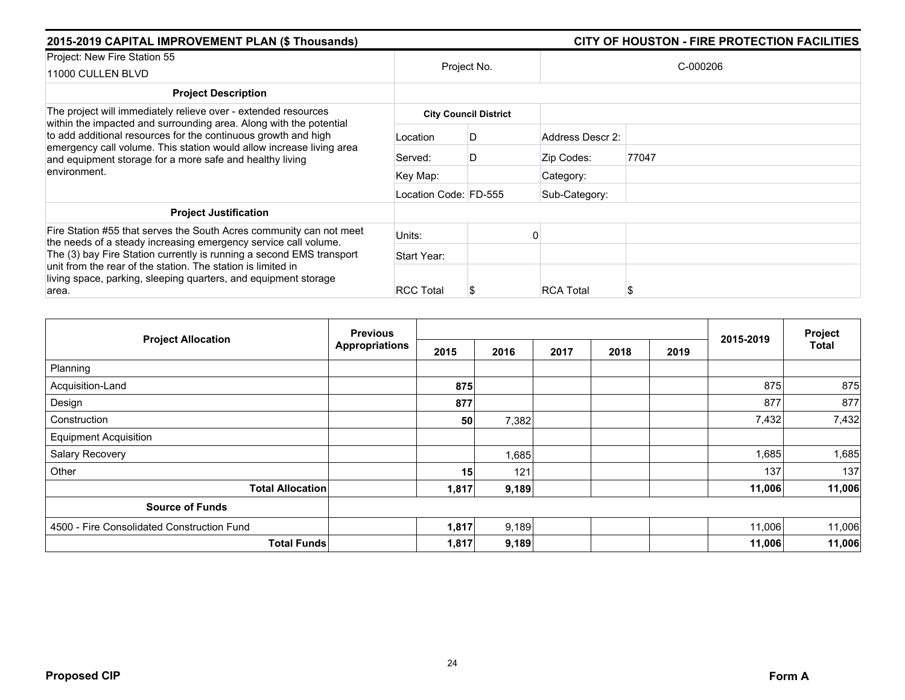| 2015-2019 CAPITAL IMPROVEMENT PLAN (\$ Thousands)                                                                                                                                                                                                                                        |                       |                              |                  | CITY OF HOUSTON - FIRE PROTECTION FACILITIES |
|------------------------------------------------------------------------------------------------------------------------------------------------------------------------------------------------------------------------------------------------------------------------------------------|-----------------------|------------------------------|------------------|----------------------------------------------|
| Project: New Fire Station 55<br>11000 CULLEN BLVD                                                                                                                                                                                                                                        |                       | Project No.                  |                  | C-000206                                     |
| <b>Project Description</b>                                                                                                                                                                                                                                                               |                       |                              |                  |                                              |
| The project will immediately relieve over - extended resources                                                                                                                                                                                                                           |                       | <b>City Council District</b> |                  |                                              |
| within the impacted and surrounding area. Along with the potential<br>to add additional resources for the continuous growth and high<br>emergency call volume. This station would allow increase living area<br>and equipment storage for a more safe and healthy living<br>environment. | Location              | D                            | Address Descr 2: |                                              |
|                                                                                                                                                                                                                                                                                          | Served:               | D                            | Zip Codes:       | 77047                                        |
|                                                                                                                                                                                                                                                                                          | Key Map:              |                              | Category:        |                                              |
|                                                                                                                                                                                                                                                                                          | Location Code: FD-555 |                              | Sub-Category:    |                                              |
| <b>Project Justification</b>                                                                                                                                                                                                                                                             |                       |                              |                  |                                              |
| Fire Station #55 that serves the South Acres community can not meet                                                                                                                                                                                                                      | Units:                |                              |                  |                                              |
| the needs of a steady increasing emergency service call volume.<br>The (3) bay Fire Station currently is running a second EMS transport<br>unit from the rear of the station. The station is limited in<br>living space, parking, sleeping quarters, and equipment storage<br>area.      | Start Year:           |                              |                  |                                              |
|                                                                                                                                                                                                                                                                                          | <b>RCC Total</b>      | æ.                           | <b>RCA Total</b> |                                              |

|                                            | <b>Previous</b>       |       |       |      |      |      | 2015-2019 | Project |
|--------------------------------------------|-----------------------|-------|-------|------|------|------|-----------|---------|
| <b>Project Allocation</b>                  | <b>Appropriations</b> | 2015  | 2016  | 2017 | 2018 | 2019 |           | Total   |
| Planning                                   |                       |       |       |      |      |      |           |         |
| Acquisition-Land                           |                       | 875   |       |      |      |      | 875       | 875     |
| Design                                     |                       | 877   |       |      |      |      | 877       | 877     |
| Construction                               |                       | 50    | 7,382 |      |      |      | 7,432     | 7,432   |
| <b>Equipment Acquisition</b>               |                       |       |       |      |      |      |           |         |
| Salary Recovery                            |                       |       | 1,685 |      |      |      | 1,685     | 1,685   |
| Other                                      |                       | 15    | 121   |      |      |      | 137       | 137     |
| <b>Total Allocation</b>                    |                       | 1,817 | 9,189 |      |      |      | 11,006    | 11,006  |
| <b>Source of Funds</b>                     |                       |       |       |      |      |      |           |         |
| 4500 - Fire Consolidated Construction Fund |                       | 1,817 | 9,189 |      |      |      | 11,006    | 11,006  |
| <b>Total Funds</b>                         |                       | 1,817 | 9,189 |      |      |      | 11,006    | 11,006  |